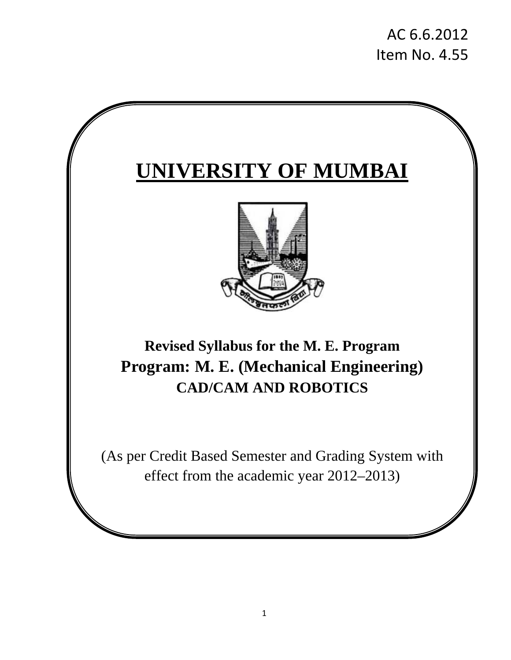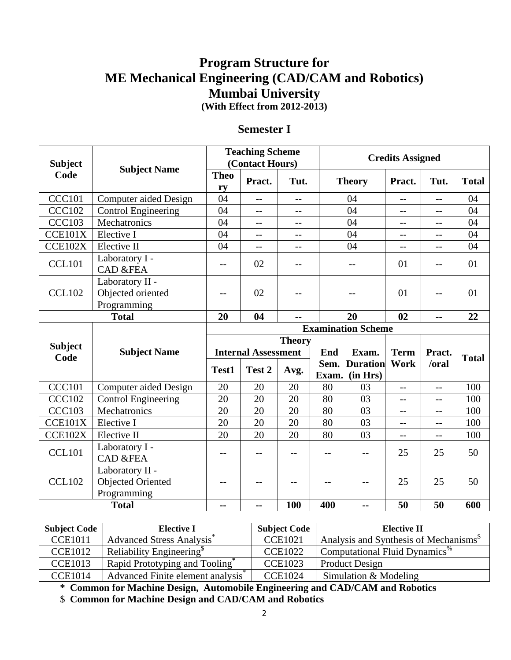# **Program Structure for ME Mechanical Engineering (CAD/CAM and Robotics) Mumbai University (With Effect from 2012-2013)**

### **Semester I**

| <b>Subject</b>         |                                                                            | <b>Teaching Scheme</b><br>(Contact Hours) |                            |               |             | <b>Credits Assigned</b>   |             |            |              |
|------------------------|----------------------------------------------------------------------------|-------------------------------------------|----------------------------|---------------|-------------|---------------------------|-------------|------------|--------------|
| Code                   | <b>Subject Name</b>                                                        | <b>Theo</b><br>ry                         | Pract.                     | Tut.          |             | <b>Theory</b>             | Pract.      | Tut.       | <b>Total</b> |
| <b>CCC101</b>          | Computer aided Design                                                      | 04                                        | $-$                        | $-$           |             | 04                        | $-$         | $-$        | 04           |
| <b>CCC102</b>          | <b>Control Engineering</b>                                                 | 04                                        | $-$                        | $-$           |             | 04                        | $-$         | $-$        | 04           |
| <b>CCC103</b>          | Mechatronics                                                               | 04                                        | $-$                        | $-$           |             | 04                        | $-$         | $-$        | 04           |
| CCE101X                | Elective I                                                                 | 04                                        | $-$                        | $-$           |             | 04                        | $-$         | --         | 04           |
| CCE102X                | Elective II                                                                | 04                                        | $-$                        | $-1$          |             | 04                        | $-$         | $-$        | 04           |
| <b>CCL101</b>          | Laboratory I -<br><b>CAD &amp;FEA</b>                                      | --                                        | 02                         | $-1$          |             |                           | 01          | --         | 01           |
| <b>CCL102</b>          | Laboratory II -<br>Objected oriented<br>Programming                        | --                                        | 02                         |               |             |                           | 01          | --         | 01           |
|                        | <b>Total</b>                                                               | 20                                        | 04                         | --            |             | 20                        | 02          | --         | 22           |
|                        |                                                                            |                                           |                            |               |             | <b>Examination Scheme</b> |             |            |              |
|                        |                                                                            |                                           |                            | <b>Theory</b> |             |                           |             |            |              |
| <b>Subject</b><br>Code | <b>Subject Name</b>                                                        |                                           | <b>Internal Assessment</b> |               | End         | Exam.                     | <b>Term</b> | Pract.     | <b>Total</b> |
|                        |                                                                            | Test1                                     | Test 2                     | Avg.          | Sem.        | <b>Duration</b>           | <b>Work</b> | /oral      |              |
| <b>CCC101</b>          |                                                                            |                                           | 20                         |               | Exam.<br>80 | (in Hrs)                  |             |            | 100          |
| <b>CCC102</b>          | <b>Computer aided Design</b>                                               | 20<br>20                                  | 20                         | 20<br>20      | 80          | 03<br>03                  | $-$         | $-$        | 100          |
| <b>CCC103</b>          | <b>Control Engineering</b><br>Mechatronics                                 | 20                                        | 20                         | 20            | 80          | 03                        | --          | --         | 100          |
| CCE101X                | Elective I                                                                 | 20                                        | 20                         | 20            | 80          | 03                        | $-$         | $-$        | 100          |
| CCE102X                | Elective II                                                                | 20                                        | 20                         | 20            | 80          | 03                        | $-$<br>$-$  | $-$<br>$-$ | 100          |
|                        | Laboratory I -                                                             |                                           |                            |               |             |                           |             |            |              |
| <b>CCL101</b>          | <b>CAD &amp;FEA</b>                                                        | $-$                                       | $-$                        | --            | $-$         | $-$                       | 25          | 25         | 50           |
| <b>CCL102</b>          | Laboratory II -<br><b>Objected Oriented</b><br>Programming<br><b>Total</b> | --                                        | $-$                        | $-$<br>100    | $ -$<br>400 | --<br>--                  | 25<br>50    | 25<br>50   | 50<br>600    |
|                        |                                                                            | --                                        | --                         |               |             |                           |             |            |              |

| <b>Subject Code</b> | <b>Elective I</b>                    | <b>Subject Code</b> | <b>Elective II</b>                                 |
|---------------------|--------------------------------------|---------------------|----------------------------------------------------|
| <b>CCE1011</b>      | <b>Advanced Stress Analysis</b>      | <b>CCE1021</b>      | Analysis and Synthesis of Mechanisms <sup>\$</sup> |
| <b>CCE1012</b>      | Reliability Engineering <sup>®</sup> | <b>CCE1022</b>      | Computational Fluid Dynamics <sup>70</sup>         |
| <b>CCE1013</b>      | Rapid Prototyping and Tooling        | <b>CCE1023</b>      | <b>Product Design</b>                              |
| <b>CCE1014</b>      | Advanced Finite element analysis     | <b>CCE1024</b>      | Simulation $&$ Modeling                            |

**\* Common for Machine Design, Automobile Engineering and CAD/CAM and Robotics** 

\$ **Common for Machine Design and CAD/CAM and Robotics**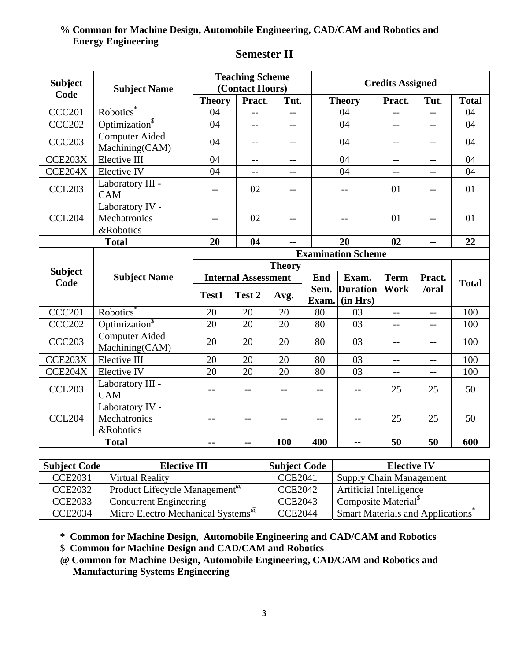### **% Common for Machine Design, Automobile Engineering, CAD/CAM and Robotics and Energy Engineering**

| <b>Subject</b>         | <b>Subject Name</b>                                     | <b>Teaching Scheme</b><br>(Contact Hours) |                            |      |       | <b>Credits Assigned</b>   |                   |                |              |
|------------------------|---------------------------------------------------------|-------------------------------------------|----------------------------|------|-------|---------------------------|-------------------|----------------|--------------|
| Code                   |                                                         | <b>Theory</b>                             | Pract.                     | Tut. |       | <b>Theory</b>             | Pract.            | Tut.           | <b>Total</b> |
| <b>CCC201</b>          | <b>Robotics</b>                                         | 04                                        | $\overline{\phantom{a}}$   |      |       | 04                        | $-$               | $-$            | 04           |
| <b>CCC202</b>          | Optimization <sup>§</sup>                               | 04                                        | $-$                        |      |       | 04                        | $-$               | $-$            | 04           |
| <b>CCC203</b>          | <b>Computer Aided</b><br>Machining(CAM)                 | 04                                        | $-$                        | $-$  |       | 04                        | $-$               | $-$            | 04           |
| CCE203X                | Elective III                                            | 04                                        | $\qquad \qquad -$          | $-$  |       | 04                        | $-$               | $-$            | 04           |
| CCE204X                | Elective IV                                             | 04                                        | $-$                        | $-$  |       | 04                        | $-$               | --             | 04           |
| <b>CCL203</b>          | Laboratory III -<br><b>CAM</b>                          | $-$                                       | 02                         |      |       | $-$                       | 01                |                | 01           |
| <b>CCL204</b>          | Laboratory IV -<br>Mechatronics<br><b>&amp;Robotics</b> | $-$                                       | 02                         |      |       |                           | 01                | $-$            | 01           |
|                        | <b>Total</b>                                            | 20                                        | 04                         | --   |       | 20                        | 02                | $\overline{a}$ | 22           |
|                        |                                                         |                                           |                            |      |       | <b>Examination Scheme</b> |                   |                |              |
|                        |                                                         | <b>Theory</b>                             |                            |      |       |                           |                   |                |              |
| <b>Subject</b><br>Code | <b>Subject Name</b>                                     |                                           | <b>Internal Assessment</b> |      | End   | Exam.                     | <b>Term</b>       | Pract.         | <b>Total</b> |
|                        |                                                         | Test1                                     | Test 2                     |      | Sem.  | <b>Duration</b>           | Work              | /oral          |              |
|                        |                                                         |                                           |                            | Avg. | Exam. | (in Hrs)                  |                   |                |              |
| <b>CCC201</b>          | Robotics <sup>®</sup>                                   | 20                                        | 20                         | 20   | 80    | 03                        | $\qquad \qquad -$ | $-$            | 100          |
| <b>CCC202</b>          | Optimization <sup>\$</sup>                              | 20                                        | 20                         | 20   | 80    | 03                        | $- -$             | $-$            | 100          |
| <b>CCC203</b>          | <b>Computer Aided</b><br>Machining(CAM)                 | 20                                        | 20                         | 20   | 80    | 03                        | $-$               | $-$            | 100          |
| CCE203X                | Elective III                                            | 20                                        | 20                         | 20   | 80    | 03                        | $-$               | $-$            | 100          |
| CCE204X                | Elective IV                                             | 20                                        | 20                         | 20   | 80    | 03                        | $-$               | $\overline{a}$ | 100          |
| <b>CCL203</b>          | Laboratory III -<br><b>CAM</b>                          | $-$                                       | $-$                        | $-$  | $-$   |                           | 25                | 25             | 50           |
| <b>CCL204</b>          | Laboratory IV -<br>Mechatronics<br>&Robotics            | --                                        | --                         | $-$  | $-$   | $-$                       | 25                | 25             | 50           |
|                        | <b>Total</b>                                            | --                                        | --                         | 100  | 400   | $-$                       | 50                | 50             | 600          |

## **Semester II**

| <b>Subject Code</b> | <b>Elective III</b>                           | <b>Subject Code</b> | <b>Elective IV</b>                            |
|---------------------|-----------------------------------------------|---------------------|-----------------------------------------------|
| <b>CCE2031</b>      | Virtual Reality                               | <b>CCE2041</b>      | <b>Supply Chain Management</b>                |
| <b>CCE2032</b>      | Product Lifecycle Management <sup>®</sup>     | <b>CCE2042</b>      | Artificial Intelligence                       |
| <b>CCE2033</b>      | <b>Concurrent Engineering</b>                 | <b>CCE2043</b>      | Composite Material <sup>\$</sup>              |
| <b>CCE2034</b>      | Micro Electro Mechanical Systems <sup>@</sup> | <b>CCE2044</b>      | Smart Materials and Applications <sup>®</sup> |

**\* Common for Machine Design, Automobile Engineering and CAD/CAM and Robotics** 

\$ **Common for Machine Design and CAD/CAM and Robotics** 

**@ Common for Machine Design, Automobile Engineering, CAD/CAM and Robotics and Manufacturing Systems Engineering**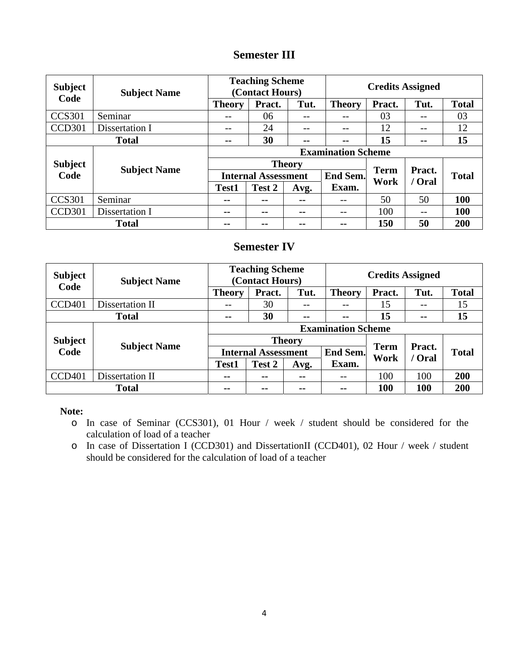### **Semester III**

| <b>Subject</b> | <b>Subject Name</b><br>Code |                            | <b>Teaching Scheme</b><br>(Contact Hours) |      |                 | <b>Credits Assigned</b> |                  |              |  |
|----------------|-----------------------------|----------------------------|-------------------------------------------|------|-----------------|-------------------------|------------------|--------------|--|
|                |                             | <b>Theory</b>              | Pract.                                    | Tut. | <b>Theory</b>   | Pract.                  | Tut.             | <b>Total</b> |  |
| <b>CCS301</b>  | Seminar                     | --                         | 06                                        | $ -$ | --              | 03                      | --               | 03           |  |
| CCD301         | Dissertation I              | --                         | 24                                        | --   | --              | 12                      | --               | 12           |  |
|                | <b>Total</b>                | --                         | 30                                        | --   | --              | 15                      | $- -$            | 15           |  |
|                |                             | <b>Examination Scheme</b>  |                                           |      |                 |                         |                  |              |  |
| <b>Subject</b> | <b>Subject Name</b>         | <b>Theory</b>              |                                           |      |                 | <b>Term</b>             |                  |              |  |
| Code           |                             | <b>Internal Assessment</b> |                                           |      | <b>End Sem.</b> | Work                    | Pract.<br>/ Oral | <b>Total</b> |  |
|                |                             | Test1                      | Test 2                                    | Avg. | Exam.           |                         |                  |              |  |
| <b>CCS301</b>  | Seminar                     | --                         | $\sim$ $\sim$                             | --   | --              | 50                      | 50               | 100          |  |
| CCD301         | Dissertation I              | --                         | $- -$                                     | --   | $- -$           | 100                     | $- -$            | 100          |  |
|                | <b>Total</b>                | --                         | $- -$                                     | --   | $\sim$ $\sim$   | 150                     | 50               | 200          |  |

#### **Semester IV**

| <b>Subject</b><br><b>Subject Name</b><br>Code |                     | <b>Teaching Scheme</b><br>(Contact Hours) |               |               | <b>Credits Assigned</b>         |        |                  |              |
|-----------------------------------------------|---------------------|-------------------------------------------|---------------|---------------|---------------------------------|--------|------------------|--------------|
|                                               |                     | <b>Theory</b>                             | Pract.        | Tut.          | <b>Theory</b>                   | Pract. | Tut.             | <b>Total</b> |
| CCD <sub>401</sub>                            | Dissertation II     | --                                        | 30            | $- -$         | --                              | 15     | --               | 15           |
|                                               | <b>Total</b>        | $\sim$ $\sim$                             | 30            | $\sim$ $-$    | $\blacksquare$                  | 15     | $\sim$ $\sim$    | 15           |
|                                               |                     | <b>Examination Scheme</b>                 |               |               |                                 |        |                  |              |
| <b>Subject</b>                                | <b>Subject Name</b> | <b>Theory</b>                             |               |               |                                 |        | Pract.<br>/ Oral | <b>Total</b> |
| Code                                          |                     | <b>Internal Assessment</b>                |               |               | <b>Term</b><br>End Sem.<br>Work |        |                  |              |
|                                               |                     | <b>Test1</b>                              | Test 2        | Avg.          | Exam.                           |        |                  |              |
| CCD <sub>401</sub>                            | Dissertation II     | $\sim$ $\sim$                             | $\sim$ $\sim$ | --            | --                              | 100    | 100              | 200          |
| <b>Total</b>                                  |                     | $- -$                                     | $- -$         | $\sim$ $\sim$ | $- -$                           | 100    | <b>100</b>       | 200          |

**Note:** 

o In case of Seminar (CCS301), 01 Hour / week / student should be considered for the calculation of load of a teacher

o In case of Dissertation I (CCD301) and DissertationII (CCD401), 02 Hour / week / student should be considered for the calculation of load of a teacher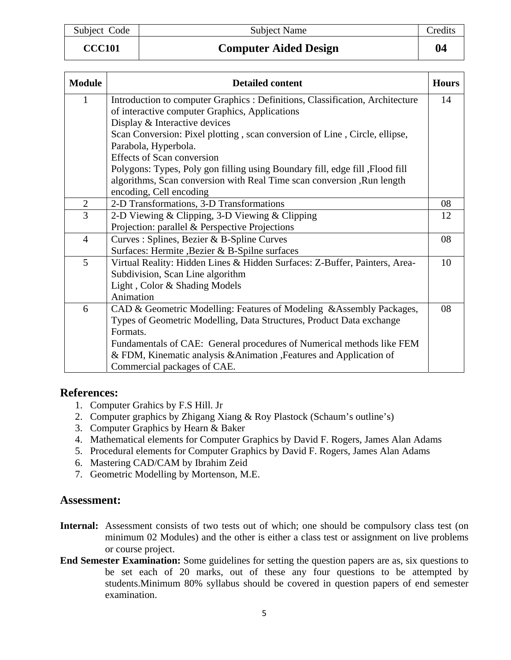#### **CCC101 Computer Aided Design 04**

| <b>Module</b>  | <b>Detailed content</b>                                                       | <b>Hours</b> |
|----------------|-------------------------------------------------------------------------------|--------------|
| 1              | Introduction to computer Graphics : Definitions, Classification, Architecture | 14           |
|                | of interactive computer Graphics, Applications                                |              |
|                | Display & Interactive devices                                                 |              |
|                | Scan Conversion: Pixel plotting, scan conversion of Line, Circle, ellipse,    |              |
|                | Parabola, Hyperbola.                                                          |              |
|                | <b>Effects of Scan conversion</b>                                             |              |
|                | Polygons: Types, Poly gon filling using Boundary fill, edge fill , Flood fill |              |
|                | algorithms, Scan conversion with Real Time scan conversion , Run length       |              |
|                | encoding, Cell encoding                                                       |              |
| $\overline{2}$ | 2-D Transformations, 3-D Transformations                                      | 08           |
| 3              | 2-D Viewing & Clipping, 3-D Viewing & Clipping                                | 12           |
|                | Projection: parallel & Perspective Projections                                |              |
| $\overline{4}$ | Curves : Splines, Bezier & B-Spline Curves                                    | 08           |
|                | Surfaces: Hermite , Bezier & B-Spilne surfaces                                |              |
| 5              | Virtual Reality: Hidden Lines & Hidden Surfaces: Z-Buffer, Painters, Area-    | 10           |
|                | Subdivision, Scan Line algorithm                                              |              |
|                | Light, Color & Shading Models                                                 |              |
|                | Animation                                                                     |              |
| 6              | CAD & Geometric Modelling: Features of Modeling & Assembly Packages,          | 08           |
|                | Types of Geometric Modelling, Data Structures, Product Data exchange          |              |
|                | Formats.                                                                      |              |
|                | Fundamentals of CAE: General procedures of Numerical methods like FEM         |              |
|                | & FDM, Kinematic analysis & Animation , Features and Application of           |              |
|                | Commercial packages of CAE.                                                   |              |

#### **References:**

- 1. Computer Grahics by F.S Hill. Jr
- 2. Computer graphics by Zhigang Xiang & Roy Plastock (Schaum's outline's)
- 3. Computer Graphics by Hearn & Baker
- 4. Mathematical elements for Computer Graphics by David F. Rogers, James Alan Adams
- 5. Procedural elements for Computer Graphics by David F. Rogers, James Alan Adams
- 6. Mastering CAD/CAM by Ibrahim Zeid
- 7. Geometric Modelling by Mortenson, M.E.

- Internal: Assessment consists of two tests out of which; one should be compulsory class test (on minimum 02 Modules) and the other is either a class test or assignment on live problems or course project.
- **End Semester Examination:** Some guidelines for setting the question papers are as, six questions to be set each of 20 marks, out of these any four questions to be attempted by students.Minimum 80% syllabus should be covered in question papers of end semester examination.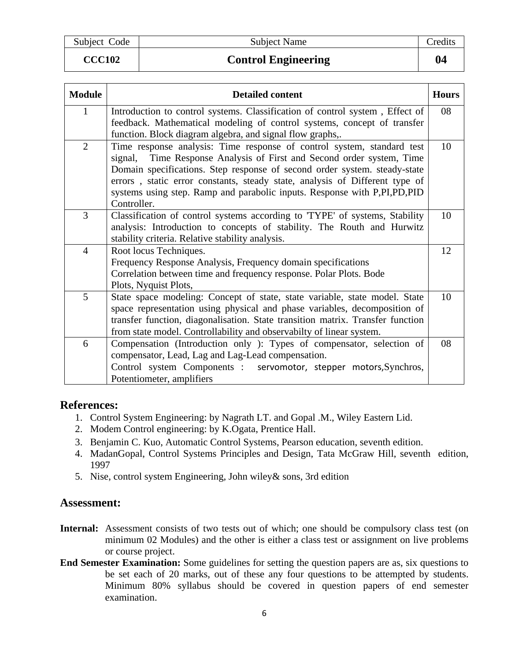**CCC102 Control Engineering 04** 

| <b>Module</b>  | <b>Detailed content</b>                                                                                                                                                                                                                                                                                                                                                                                   | <b>Hours</b> |
|----------------|-----------------------------------------------------------------------------------------------------------------------------------------------------------------------------------------------------------------------------------------------------------------------------------------------------------------------------------------------------------------------------------------------------------|--------------|
| $\mathbf{1}$   | Introduction to control systems. Classification of control system, Effect of<br>feedback. Mathematical modeling of control systems, concept of transfer<br>function. Block diagram algebra, and signal flow graphs,.                                                                                                                                                                                      | 08           |
| $\overline{2}$ | Time response analysis: Time response of control system, standard test<br>Time Response Analysis of First and Second order system, Time<br>signal,<br>Domain specifications. Step response of second order system, steady-state<br>errors, static error constants, steady state, analysis of Different type of<br>systems using step. Ramp and parabolic inputs. Response with P,PI,PD,PID<br>Controller. | 10           |
| 3              | Classification of control systems according to 'TYPE' of systems, Stability<br>analysis: Introduction to concepts of stability. The Routh and Hurwitz<br>stability criteria. Relative stability analysis.                                                                                                                                                                                                 | 10           |
| $\overline{4}$ | Root locus Techniques.<br>Frequency Response Analysis, Frequency domain specifications<br>Correlation between time and frequency response. Polar Plots. Bode<br>Plots, Nyquist Plots,                                                                                                                                                                                                                     | 12           |
| 5              | State space modeling: Concept of state, state variable, state model. State<br>space representation using physical and phase variables, decomposition of<br>transfer function, diagonalisation. State transition matrix. Transfer function<br>from state model. Controllability and observabilty of linear system.                                                                                         | 10           |
| 6              | Compensation (Introduction only ): Types of compensator, selection of<br>compensator, Lead, Lag and Lag-Lead compensation.<br>Control system Components : servomotor, stepper motors, Synchros,<br>Potentiometer, amplifiers                                                                                                                                                                              | 08           |

### **References:**

- 1. Control System Engineering: by Nagrath LT. and Gopal .M., Wiley Eastern Lid.
- 2. Modem Control engineering: by K.Ogata, Prentice Hall.
- 3. Benjamin C. Kuo, Automatic Control Systems, Pearson education, seventh edition.
- 4. MadanGopal, Control Systems Principles and Design, Tata McGraw Hill, seventh edition, 1997
- 5. Nise, control system Engineering, John wiley& sons, 3rd edition

- Internal: Assessment consists of two tests out of which; one should be compulsory class test (on minimum 02 Modules) and the other is either a class test or assignment on live problems or course project.
- **End Semester Examination:** Some guidelines for setting the question papers are as, six questions to be set each of 20 marks, out of these any four questions to be attempted by students. Minimum 80% syllabus should be covered in question papers of end semester examination.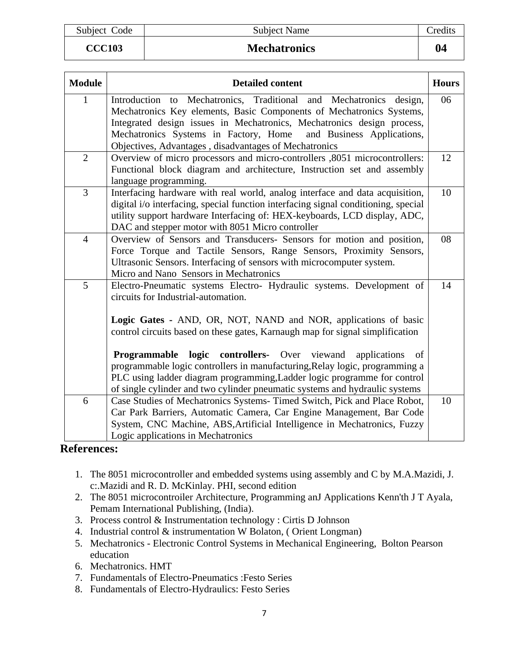| Subject Cod |  |
|-------------|--|
|             |  |
|             |  |

**CCC103 Mechatronics** 

| <b>Module</b>  | <b>Detailed content</b>                                                            | <b>Hours</b> |
|----------------|------------------------------------------------------------------------------------|--------------|
| $\mathbf{1}$   | Introduction to Mechatronics, Traditional and Mechatronics design,                 | 06           |
|                | Mechatronics Key elements, Basic Components of Mechatronics Systems,               |              |
|                | Integrated design issues in Mechatronics, Mechatronics design process,             |              |
|                | Mechatronics Systems in Factory, Home<br>and Business Applications,                |              |
|                | Objectives, Advantages, disadvantages of Mechatronics                              |              |
| $\overline{2}$ | Overview of micro processors and micro-controllers ,8051 microcontrollers:         | 12           |
|                | Functional block diagram and architecture, Instruction set and assembly            |              |
|                | language programming.                                                              |              |
| $\overline{3}$ | Interfacing hardware with real world, analog interface and data acquisition,       | 10           |
|                | digital i/o interfacing, special function interfacing signal conditioning, special |              |
|                | utility support hardware Interfacing of: HEX-keyboards, LCD display, ADC,          |              |
|                | DAC and stepper motor with 8051 Micro controller                                   |              |
| $\overline{4}$ | Overview of Sensors and Transducers- Sensors for motion and position,              | 08           |
|                | Force Torque and Tactile Sensors, Range Sensors, Proximity Sensors,                |              |
|                | Ultrasonic Sensors. Interfacing of sensors with microcomputer system.              |              |
|                | Micro and Nano Sensors in Mechatronics                                             |              |
| 5              | Electro-Pneumatic systems Electro- Hydraulic systems. Development of               | 14           |
|                | circuits for Industrial-automation.                                                |              |
|                |                                                                                    |              |
|                | Logic Gates - AND, OR, NOT, NAND and NOR, applications of basic                    |              |
|                | control circuits based on these gates, Karnaugh map for signal simplification      |              |
|                |                                                                                    |              |
|                | <b>Programmable logic controllers-</b> Over viewand applications<br>of             |              |
|                | programmable logic controllers in manufacturing, Relay logic, programming a        |              |
|                | PLC using ladder diagram programming, Ladder logic programme for control           |              |
|                | of single cylinder and two cylinder pneumatic systems and hydraulic systems        |              |
| 6              | Case Studies of Mechatronics Systems- Timed Switch, Pick and Place Robot,          | 10           |
|                | Car Park Barriers, Automatic Camera, Car Engine Management, Bar Code               |              |
|                | System, CNC Machine, ABS, Artificial Intelligence in Mechatronics, Fuzzy           |              |
|                | Logic applications in Mechatronics                                                 |              |

### **References:**

- 1. The 8051 microcontroller and embedded systems using assembly and C by M.A.Mazidi, J. c:.Mazidi and R. D. McKinlay. PHI, second edition
- 2. The 8051 microcontroiler Architecture, Programming anJ Applications Kenn'th J T Ayala, Pemam International Publishing, (India).
- 3. Process control & Instrumentation technology : Cirtis D Johnson
- 4. Industrial control & instrumentation W Bolaton, ( Orient Longman)
- 5. Mechatronics Electronic Control Systems in Mechanical Engineering, Bolton Pearson education
- 6. Mechatronics. HMT
- 7. Fundamentals of Electro-Pneumatics :Festo Series
- 8. Fundamentals of Electro-Hydraulics: Festo Series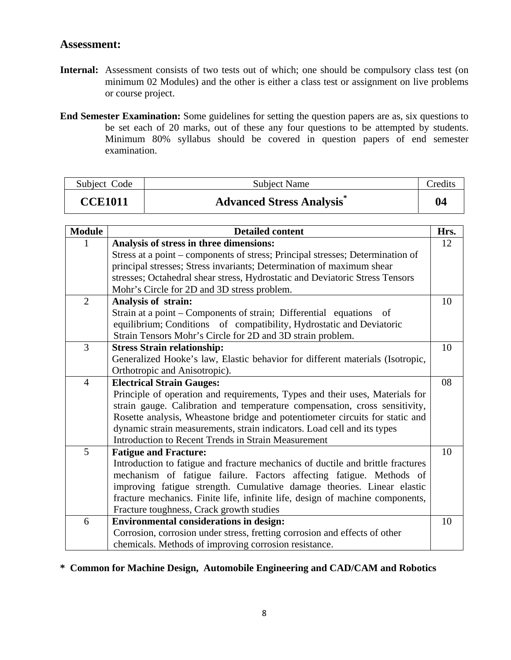#### **Assessment:**

- Internal: Assessment consists of two tests out of which; one should be compulsory class test (on minimum 02 Modules) and the other is either a class test or assignment on live problems or course project.
- **End Semester Examination:** Some guidelines for setting the question papers are as, six questions to be set each of 20 marks, out of these any four questions to be attempted by students. Minimum 80% syllabus should be covered in question papers of end semester examination.

| Subject Code   | <b>Subject Name</b>              | Credits |
|----------------|----------------------------------|---------|
| <b>CCE1011</b> | <b>Advanced Stress Analysis®</b> | 04      |

| <b>Module</b>  | <b>Detailed content</b>                                                         | Hrs. |
|----------------|---------------------------------------------------------------------------------|------|
|                | Analysis of stress in three dimensions:                                         | 12   |
|                | Stress at a point – components of stress; Principal stresses; Determination of  |      |
|                | principal stresses; Stress invariants; Determination of maximum shear           |      |
|                | stresses; Octahedral shear stress, Hydrostatic and Deviatoric Stress Tensors    |      |
|                | Mohr's Circle for 2D and 3D stress problem.                                     |      |
| $\overline{2}$ | Analysis of strain:                                                             | 10   |
|                | Strain at a point – Components of strain; Differential equations of             |      |
|                | equilibrium; Conditions of compatibility, Hydrostatic and Deviatoric            |      |
|                | Strain Tensors Mohr's Circle for 2D and 3D strain problem.                      |      |
| 3              | <b>Stress Strain relationship:</b>                                              | 10   |
|                | Generalized Hooke's law, Elastic behavior for different materials (Isotropic,   |      |
|                | Orthotropic and Anisotropic).                                                   |      |
| $\overline{4}$ | <b>Electrical Strain Gauges:</b>                                                | 08   |
|                | Principle of operation and requirements, Types and their uses, Materials for    |      |
|                | strain gauge. Calibration and temperature compensation, cross sensitivity,      |      |
|                | Rosette analysis, Wheastone bridge and potentiometer circuits for static and    |      |
|                | dynamic strain measurements, strain indicators. Load cell and its types         |      |
|                | Introduction to Recent Trends in Strain Measurement                             |      |
| 5              | <b>Fatigue and Fracture:</b>                                                    | 10   |
|                | Introduction to fatigue and fracture mechanics of ductile and brittle fractures |      |
|                | mechanism of fatigue failure. Factors affecting fatigue. Methods of             |      |
|                | improving fatigue strength. Cumulative damage theories. Linear elastic          |      |
|                | fracture mechanics. Finite life, infinite life, design of machine components,   |      |
|                | Fracture toughness, Crack growth studies                                        |      |
| 6              | <b>Environmental considerations in design:</b>                                  | 10   |
|                | Corrosion, corrosion under stress, fretting corrosion and effects of other      |      |
|                | chemicals. Methods of improving corrosion resistance.                           |      |

## **\* Common for Machine Design, Automobile Engineering and CAD/CAM and Robotics**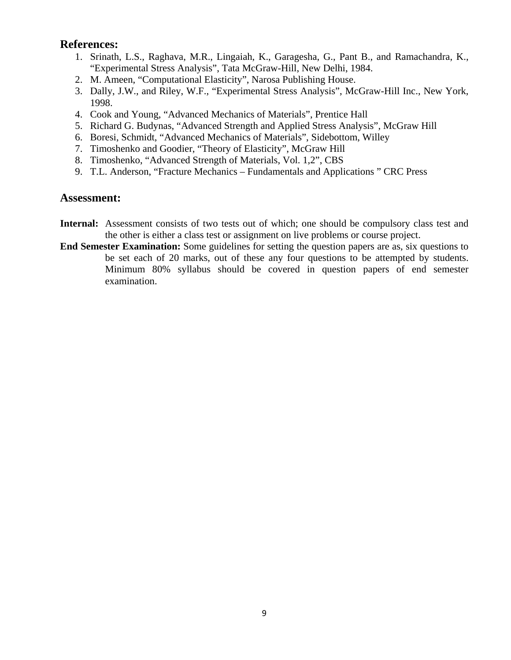- 1. Srinath, L.S., Raghava, M.R., Lingaiah, K., Garagesha, G., Pant B., and Ramachandra, K., "Experimental Stress Analysis", Tata McGraw-Hill, New Delhi, 1984.
- 2. M. Ameen, "Computational Elasticity", Narosa Publishing House.
- 3. Dally, J.W., and Riley, W.F., "Experimental Stress Analysis", McGraw-Hill Inc., New York, 1998.
- 4. Cook and Young, "Advanced Mechanics of Materials", Prentice Hall
- 5. Richard G. Budynas, "Advanced Strength and Applied Stress Analysis", McGraw Hill
- 6. Boresi, Schmidt, "Advanced Mechanics of Materials", Sidebottom, Willey
- 7. Timoshenko and Goodier, "Theory of Elasticity", McGraw Hill
- 8. Timoshenko, "Advanced Strength of Materials, Vol. 1,2", CBS
- 9. T.L. Anderson, "Fracture Mechanics Fundamentals and Applications " CRC Press

- **Internal:** Assessment consists of two tests out of which; one should be compulsory class test and the other is either a class test or assignment on live problems or course project.
- **End Semester Examination:** Some guidelines for setting the question papers are as, six questions to be set each of 20 marks, out of these any four questions to be attempted by students. Minimum 80% syllabus should be covered in question papers of end semester examination.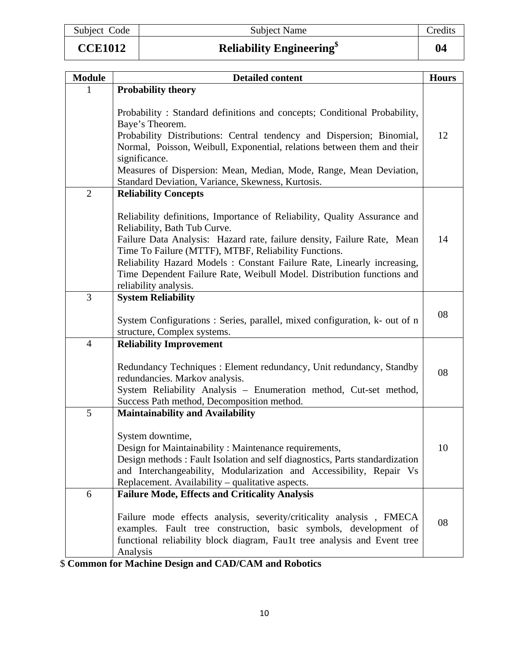|  | Subject Code |
|--|--------------|

# **CCE1012 Reliability Engineering\$ 04**

| <b>Module</b>  | <b>Detailed content</b>                                                   | <b>Hours</b> |
|----------------|---------------------------------------------------------------------------|--------------|
|                | <b>Probability theory</b>                                                 |              |
|                |                                                                           |              |
|                | Probability: Standard definitions and concepts; Conditional Probability,  |              |
|                | Baye's Theorem.                                                           |              |
|                | Probability Distributions: Central tendency and Dispersion; Binomial,     | 12           |
|                | Normal, Poisson, Weibull, Exponential, relations between them and their   |              |
|                | significance.                                                             |              |
|                | Measures of Dispersion: Mean, Median, Mode, Range, Mean Deviation,        |              |
|                | Standard Deviation, Variance, Skewness, Kurtosis.                         |              |
| $\overline{2}$ | <b>Reliability Concepts</b>                                               |              |
|                |                                                                           |              |
|                | Reliability definitions, Importance of Reliability, Quality Assurance and |              |
|                | Reliability, Bath Tub Curve.                                              |              |
|                | Failure Data Analysis: Hazard rate, failure density, Failure Rate, Mean   | 14           |
|                | Time To Failure (MTTF), MTBF, Reliability Functions.                      |              |
|                | Reliability Hazard Models: Constant Failure Rate, Linearly increasing,    |              |
|                | Time Dependent Failure Rate, Weibull Model. Distribution functions and    |              |

|                | Reliability, Bath Tub Curve.                                                                                                    |    |
|----------------|---------------------------------------------------------------------------------------------------------------------------------|----|
|                | Failure Data Analysis: Hazard rate, failure density, Failure Rate, Mean<br>Time To Failure (MTTF), MTBF, Reliability Functions. | 14 |
|                | Reliability Hazard Models: Constant Failure Rate, Linearly increasing,                                                          |    |
|                | Time Dependent Failure Rate, Weibull Model. Distribution functions and                                                          |    |
|                | reliability analysis.                                                                                                           |    |
| 3              | <b>System Reliability</b>                                                                                                       |    |
|                |                                                                                                                                 |    |
|                | System Configurations: Series, parallel, mixed configuration, k- out of n                                                       | 08 |
|                | structure, Complex systems.                                                                                                     |    |
| $\overline{4}$ | <b>Reliability Improvement</b>                                                                                                  |    |
|                |                                                                                                                                 |    |
|                | Redundancy Techniques : Element redundancy, Unit redundancy, Standby                                                            | 08 |
|                | redundancies. Markov analysis.                                                                                                  |    |
|                | System Reliability Analysis - Enumeration method, Cut-set method,                                                               |    |
|                | Success Path method, Decomposition method.                                                                                      |    |
| 5              | <b>Maintainability and Availability</b>                                                                                         |    |
|                |                                                                                                                                 |    |
|                | System downtime,                                                                                                                |    |
|                | Design for Maintainability: Maintenance requirements,                                                                           | 10 |
|                | Design methods: Fault Isolation and self diagnostics, Parts standardization                                                     |    |
|                | and Interchangeability, Modularization and Accessibility, Repair Vs                                                             |    |
|                | Replacement. Availability – qualitative aspects.                                                                                |    |
| 6              | <b>Failure Mode, Effects and Criticality Analysis</b>                                                                           |    |
|                |                                                                                                                                 |    |
|                | Failure mode effects analysis, severity/criticality analysis, FMECA                                                             | 08 |
|                | examples. Fault tree construction, basic symbols, development of                                                                |    |
|                | functional reliability block diagram, Fau1t tree analysis and Event tree                                                        |    |
|                | Analysis                                                                                                                        |    |
|                | <b>Common for Machine Design and CAD/CAM and Robotics</b>                                                                       |    |

\$ **Common for Machine Design and CAD/CAM and Robotics**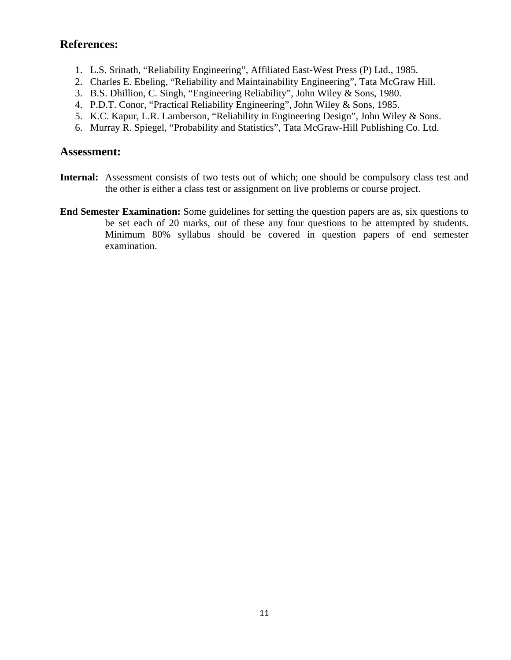- 1. L.S. Srinath, "Reliability Engineering", Affiliated East-West Press (P) Ltd., 1985.
- 2. Charles E. Ebeling, "Reliability and Maintainability Engineering", Tata McGraw Hill.
- 3. B.S. Dhillion, C. Singh, "Engineering Reliability", John Wiley & Sons, 1980.
- 4. P.D.T. Conor, "Practical Reliability Engineering", John Wiley & Sons, 1985.
- 5. K.C. Kapur, L.R. Lamberson, "Reliability in Engineering Design", John Wiley & Sons.
- 6. Murray R. Spiegel, "Probability and Statistics", Tata McGraw-Hill Publishing Co. Ltd.

- **Internal:** Assessment consists of two tests out of which; one should be compulsory class test and the other is either a class test or assignment on live problems or course project.
- **End Semester Examination:** Some guidelines for setting the question papers are as, six questions to be set each of 20 marks, out of these any four questions to be attempted by students. Minimum 80% syllabus should be covered in question papers of end semester examination.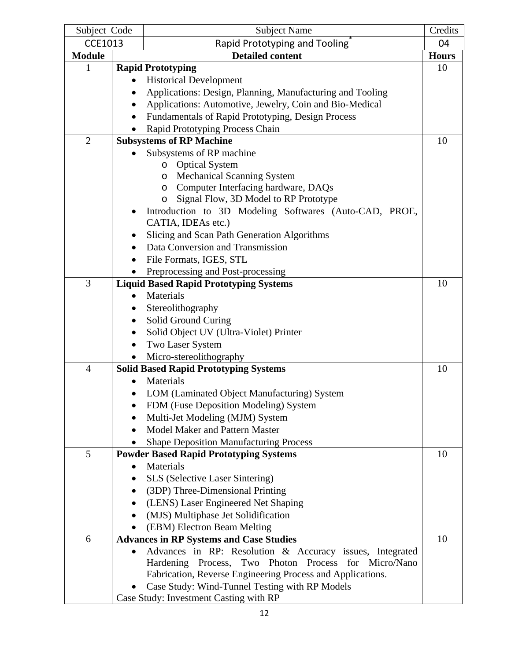| Subject Code   |           | <b>Subject Name</b>                                        | Credits      |
|----------------|-----------|------------------------------------------------------------|--------------|
| <b>CCE1013</b> |           | Rapid Prototyping and Tooling                              | 04           |
| <b>Module</b>  |           | <b>Detailed content</b>                                    | <b>Hours</b> |
| 1              |           | <b>Rapid Prototyping</b>                                   | 10           |
|                | $\bullet$ | <b>Historical Development</b>                              |              |
|                |           | Applications: Design, Planning, Manufacturing and Tooling  |              |
|                |           | Applications: Automotive, Jewelry, Coin and Bio-Medical    |              |
|                |           | Fundamentals of Rapid Prototyping, Design Process          |              |
|                |           | Rapid Prototyping Process Chain                            |              |
| $\overline{2}$ |           | <b>Subsystems of RP Machine</b>                            | 10           |
|                |           | Subsystems of RP machine                                   |              |
|                |           | <b>Optical System</b><br>$\circ$                           |              |
|                |           | <b>Mechanical Scanning System</b><br>O                     |              |
|                |           | Computer Interfacing hardware, DAQs<br>O                   |              |
|                |           | Signal Flow, 3D Model to RP Prototype<br>$\circ$           |              |
|                |           | Introduction to 3D Modeling Softwares (Auto-CAD, PROE,     |              |
|                |           | CATIA, IDEAs etc.)                                         |              |
|                | ٠         | Slicing and Scan Path Generation Algorithms                |              |
|                |           | Data Conversion and Transmission                           |              |
|                |           | File Formats, IGES, STL                                    |              |
|                |           | Preprocessing and Post-processing                          |              |
| 3              |           | <b>Liquid Based Rapid Prototyping Systems</b>              | 10           |
|                |           | Materials                                                  |              |
|                |           | Stereolithography                                          |              |
|                | ٠         | Solid Ground Curing                                        |              |
|                | $\bullet$ | Solid Object UV (Ultra-Violet) Printer                     |              |
|                | $\bullet$ | Two Laser System                                           |              |
|                |           | Micro-stereolithography                                    |              |
| $\overline{4}$ |           | <b>Solid Based Rapid Prototyping Systems</b>               | 10           |
|                |           | Materials                                                  |              |
|                |           | LOM (Laminated Object Manufacturing) System                |              |
|                |           | FDM (Fuse Deposition Modeling) System                      |              |
|                |           | Multi-Jet Modeling (MJM) System                            |              |
|                | $\bullet$ | Model Maker and Pattern Master                             |              |
|                |           | <b>Shape Deposition Manufacturing Process</b>              |              |
| 5              |           | <b>Powder Based Rapid Prototyping Systems</b>              | 10           |
|                |           | Materials                                                  |              |
|                |           | <b>SLS</b> (Selective Laser Sintering)                     |              |
|                |           | (3DP) Three-Dimensional Printing                           |              |
|                |           | (LENS) Laser Engineered Net Shaping                        |              |
|                | $\bullet$ | (MJS) Multiphase Jet Solidification                        |              |
|                |           | (EBM) Electron Beam Melting                                |              |
| 6              |           | <b>Advances in RP Systems and Case Studies</b>             | 10           |
|                |           | Advances in RP: Resolution & Accuracy issues, Integrated   |              |
|                |           | Hardening Process, Two Photon Process for Micro/Nano       |              |
|                |           | Fabrication, Reverse Engineering Process and Applications. |              |
|                |           | Case Study: Wind-Tunnel Testing with RP Models             |              |
|                |           | Case Study: Investment Casting with RP                     |              |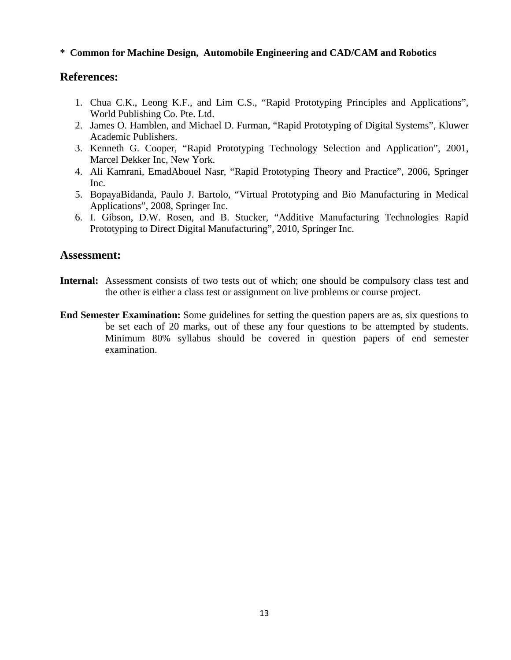#### **\* Common for Machine Design, Automobile Engineering and CAD/CAM and Robotics**

#### **References:**

- 1. Chua C.K., Leong K.F., and Lim C.S., "Rapid Prototyping Principles and Applications", World Publishing Co. Pte. Ltd.
- 2. James O. Hamblen, and Michael D. Furman, "Rapid Prototyping of Digital Systems", Kluwer Academic Publishers.
- 3. Kenneth G. Cooper, "Rapid Prototyping Technology Selection and Application", 2001, Marcel Dekker Inc, New York.
- 4. Ali Kamrani, EmadAbouel Nasr, "Rapid Prototyping Theory and Practice", 2006, Springer Inc.
- 5. BopayaBidanda, Paulo J. Bartolo, "Virtual Prototyping and Bio Manufacturing in Medical Applications", 2008, Springer Inc.
- 6. I. Gibson, D.W. Rosen, and B. Stucker, "Additive Manufacturing Technologies Rapid Prototyping to Direct Digital Manufacturing", 2010, Springer Inc.

- Internal: Assessment consists of two tests out of which; one should be compulsory class test and the other is either a class test or assignment on live problems or course project.
- **End Semester Examination:** Some guidelines for setting the question papers are as, six questions to be set each of 20 marks, out of these any four questions to be attempted by students. Minimum 80% syllabus should be covered in question papers of end semester examination.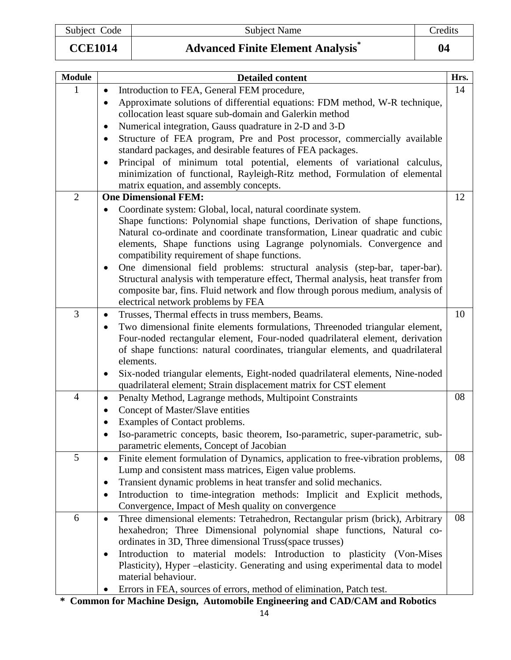Subject Code Subject Name Subject Name Credits

**CCE1014 Advanced Finite Element Analysis\* 04** 

| <b>Module</b>  | <b>Detailed content</b>                                                                                                                                                                                       | Hrs. |
|----------------|---------------------------------------------------------------------------------------------------------------------------------------------------------------------------------------------------------------|------|
| 1              | Introduction to FEA, General FEM procedure,<br>$\bullet$                                                                                                                                                      | 14   |
|                | Approximate solutions of differential equations: FDM method, W-R technique,<br>$\bullet$                                                                                                                      |      |
|                | collocation least square sub-domain and Galerkin method                                                                                                                                                       |      |
|                | Numerical integration, Gauss quadrature in 2-D and 3-D                                                                                                                                                        |      |
|                | Structure of FEA program, Pre and Post processor, commercially available<br>٠<br>standard packages, and desirable features of FEA packages.                                                                   |      |
|                | Principal of minimum total potential, elements of variational calculus,<br>$\bullet$<br>minimization of functional, Rayleigh-Ritz method, Formulation of elemental<br>matrix equation, and assembly concepts. |      |
| $\overline{2}$ | <b>One Dimensional FEM:</b>                                                                                                                                                                                   | 12   |
|                | Coordinate system: Global, local, natural coordinate system.<br>$\bullet$                                                                                                                                     |      |
|                | Shape functions: Polynomial shape functions, Derivation of shape functions,                                                                                                                                   |      |
|                | Natural co-ordinate and coordinate transformation, Linear quadratic and cubic                                                                                                                                 |      |
|                | elements, Shape functions using Lagrange polynomials. Convergence and                                                                                                                                         |      |
|                | compatibility requirement of shape functions.                                                                                                                                                                 |      |
|                | One dimensional field problems: structural analysis (step-bar, taper-bar).<br>$\bullet$<br>Structural analysis with temperature effect, Thermal analysis, heat transfer from                                  |      |
|                | composite bar, fins. Fluid network and flow through porous medium, analysis of                                                                                                                                |      |
|                | electrical network problems by FEA                                                                                                                                                                            |      |
| $\overline{3}$ | Trusses, Thermal effects in truss members, Beams.<br>$\bullet$                                                                                                                                                | 10   |
|                | Two dimensional finite elements formulations, Threenoded triangular element,<br>$\bullet$                                                                                                                     |      |
|                | Four-noded rectangular element, Four-noded quadrilateral element, derivation                                                                                                                                  |      |
|                | of shape functions: natural coordinates, triangular elements, and quadrilateral                                                                                                                               |      |
|                | elements.                                                                                                                                                                                                     |      |
|                | Six-noded triangular elements, Eight-noded quadrilateral elements, Nine-noded<br>$\bullet$                                                                                                                    |      |
|                | quadrilateral element; Strain displacement matrix for CST element                                                                                                                                             |      |
| 4              | Penalty Method, Lagrange methods, Multipoint Constraints<br>$\bullet$                                                                                                                                         | 08   |
|                | Concept of Master/Slave entities<br>$\bullet$                                                                                                                                                                 |      |
|                | Examples of Contact problems.                                                                                                                                                                                 |      |
|                | Iso-parametric concepts, basic theorem, Iso-parametric, super-parametric, sub-                                                                                                                                |      |
| 5              | parametric elements, Concept of Jacobian                                                                                                                                                                      | 08   |
|                | Finite element formulation of Dynamics, application to free-vibration problems,<br>$\bullet$                                                                                                                  |      |
|                | Lump and consistent mass matrices, Eigen value problems.<br>Transient dynamic problems in heat transfer and solid mechanics.                                                                                  |      |
|                | ٠<br>Introduction to time-integration methods: Implicit and Explicit methods,                                                                                                                                 |      |
|                | Convergence, Impact of Mesh quality on convergence                                                                                                                                                            |      |
| 6              | Three dimensional elements: Tetrahedron, Rectangular prism (brick), Arbitrary<br>$\bullet$                                                                                                                    | 08   |
|                | hexahedron; Three Dimensional polynomial shape functions, Natural co-                                                                                                                                         |      |
|                | ordinates in 3D, Three dimensional Truss(space trusses)                                                                                                                                                       |      |
|                | Introduction to material models: Introduction to plasticity (Von-Mises<br>$\bullet$                                                                                                                           |      |
|                | Plasticity), Hyper –elasticity. Generating and using experimental data to model                                                                                                                               |      |
|                | material behaviour.                                                                                                                                                                                           |      |
|                | Errors in FEA, sources of errors, method of elimination, Patch test.                                                                                                                                          |      |

**\* Common for Machine Design, Automobile Engineering and CAD/CAM and Robotics**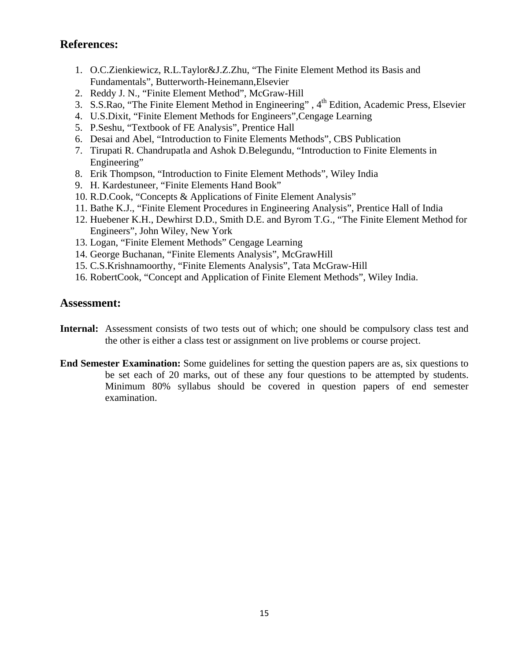- 1. O.C.Zienkiewicz, R.L.Taylor&J.Z.Zhu, "The Finite Element Method its Basis and Fundamentals", Butterworth-Heinemann,Elsevier
- 2. Reddy J. N., "Finite Element Method", McGraw-Hill
- 3. S.S.Rao, "The Finite Element Method in Engineering", 4<sup>th</sup> Edition, Academic Press, Elsevier
- 4. U.S.Dixit, "Finite Element Methods for Engineers",Cengage Learning
- 5. P.Seshu, "Textbook of FE Analysis", Prentice Hall
- 6. Desai and Abel, "Introduction to Finite Elements Methods", CBS Publication
- 7. Tirupati R. Chandrupatla and Ashok D.Belegundu, "Introduction to Finite Elements in Engineering"
- 8. Erik Thompson, "Introduction to Finite Element Methods", Wiley India
- 9. H. Kardestuneer, "Finite Elements Hand Book"
- 10. R.D.Cook, "Concepts & Applications of Finite Element Analysis"
- 11. Bathe K.J., "Finite Element Procedures in Engineering Analysis", Prentice Hall of India
- 12. Huebener K.H., Dewhirst D.D., Smith D.E. and Byrom T.G., "The Finite Element Method for Engineers", John Wiley, New York
- 13. Logan, "Finite Element Methods" Cengage Learning
- 14. George Buchanan, "Finite Elements Analysis", McGrawHill
- 15. C.S.Krishnamoorthy, "Finite Elements Analysis", Tata McGraw-Hill
- 16. RobertCook, "Concept and Application of Finite Element Methods", Wiley India.

- **Internal:** Assessment consists of two tests out of which; one should be compulsory class test and the other is either a class test or assignment on live problems or course project.
- **End Semester Examination:** Some guidelines for setting the question papers are as, six questions to be set each of 20 marks, out of these any four questions to be attempted by students. Minimum 80% syllabus should be covered in question papers of end semester examination.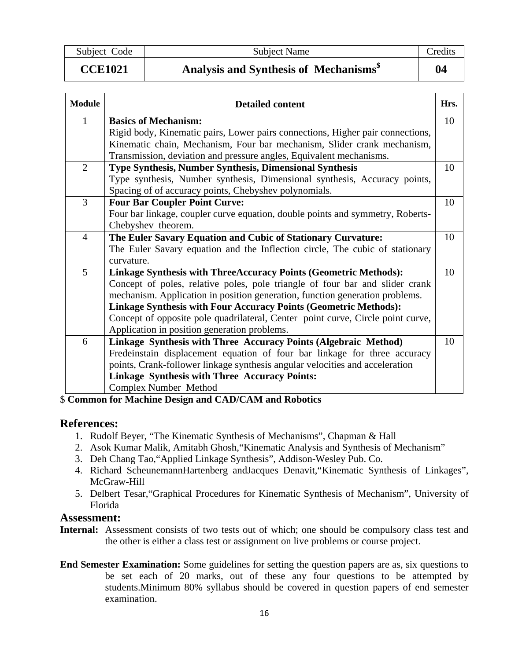Subject Code Subject Name Credits

## **CCE1021 Analysis and Synthesis of Mechanisms\$ 04**

| <b>Module</b>  | <b>Detailed content</b>                                                         | Hrs. |
|----------------|---------------------------------------------------------------------------------|------|
| 1              | <b>Basics of Mechanism:</b>                                                     | 10   |
|                | Rigid body, Kinematic pairs, Lower pairs connections, Higher pair connections,  |      |
|                | Kinematic chain, Mechanism, Four bar mechanism, Slider crank mechanism,         |      |
|                | Transmission, deviation and pressure angles, Equivalent mechanisms.             |      |
| $\overline{2}$ | <b>Type Synthesis, Number Synthesis, Dimensional Synthesis</b>                  | 10   |
|                | Type synthesis, Number synthesis, Dimensional synthesis, Accuracy points,       |      |
|                | Spacing of of accuracy points, Chebyshev polynomials.                           |      |
| 3              | <b>Four Bar Coupler Point Curve:</b>                                            | 10   |
|                | Four bar linkage, coupler curve equation, double points and symmetry, Roberts-  |      |
|                | Chebyshev theorem.                                                              |      |
| $\overline{4}$ | The Euler Savary Equation and Cubic of Stationary Curvature:                    | 10   |
|                | The Euler Savary equation and the Inflection circle, The cubic of stationary    |      |
|                | curvature.                                                                      |      |
| 5              | <b>Linkage Synthesis with ThreeAccuracy Points (Geometric Methods):</b>         | 10   |
|                | Concept of poles, relative poles, pole triangle of four bar and slider crank    |      |
|                | mechanism. Application in position generation, function generation problems.    |      |
|                | <b>Linkage Synthesis with Four Accuracy Points (Geometric Methods):</b>         |      |
|                | Concept of opposite pole quadrilateral, Center point curve, Circle point curve, |      |
|                | Application in position generation problems.                                    |      |
| 6              | Linkage Synthesis with Three Accuracy Points (Algebraic Method)                 | 10   |
|                | Fredeinstain displacement equation of four bar linkage for three accuracy       |      |
|                | points, Crank-follower linkage synthesis angular velocities and acceleration    |      |
|                | <b>Linkage Synthesis with Three Accuracy Points:</b>                            |      |
|                | Complex Number Method                                                           |      |

#### \$ **Common for Machine Design and CAD/CAM and Robotics**

#### **References:**

- 1. Rudolf Beyer, "The Kinematic Synthesis of Mechanisms", Chapman & Hall
- 2. Asok Kumar Malik, Amitabh Ghosh,"Kinematic Analysis and Synthesis of Mechanism"
- 3. Deh Chang Tao,"Applied Linkage Synthesis", Addison-Wesley Pub. Co.
- 4. Richard ScheunemannHartenberg andJacques Denavit,"Kinematic Synthesis of Linkages", McGraw-Hill
- 5. Delbert Tesar,"Graphical Procedures for Kinematic Synthesis of Mechanism", University of Florida

- **Internal:** Assessment consists of two tests out of which; one should be compulsory class test and the other is either a class test or assignment on live problems or course project.
- **End Semester Examination:** Some guidelines for setting the question papers are as, six questions to be set each of 20 marks, out of these any four questions to be attempted by students.Minimum 80% syllabus should be covered in question papers of end semester examination.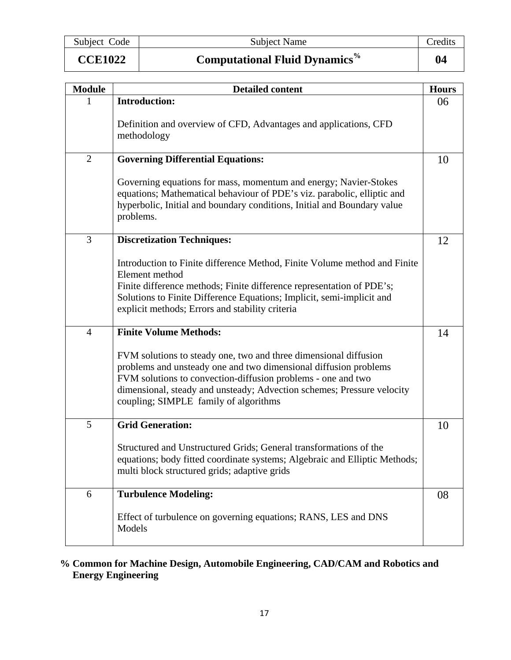Subject Code Subject Name Credits

| <b>CCE1022</b> |  |  |  |  |
|----------------|--|--|--|--|
|----------------|--|--|--|--|

**CCE1022 Computational Fluid Dynamics% 04** 

| <b>Module</b>  | <b>Detailed content</b>                                                                                                                                                                                                                                                                                                 | <b>Hours</b> |
|----------------|-------------------------------------------------------------------------------------------------------------------------------------------------------------------------------------------------------------------------------------------------------------------------------------------------------------------------|--------------|
|                | <b>Introduction:</b>                                                                                                                                                                                                                                                                                                    | 06           |
|                | Definition and overview of CFD, Advantages and applications, CFD<br>methodology                                                                                                                                                                                                                                         |              |
| $\overline{2}$ | <b>Governing Differential Equations:</b>                                                                                                                                                                                                                                                                                | 10           |
|                | Governing equations for mass, momentum and energy; Navier-Stokes<br>equations; Mathematical behaviour of PDE's viz. parabolic, elliptic and<br>hyperbolic, Initial and boundary conditions, Initial and Boundary value<br>problems.                                                                                     |              |
| 3              | <b>Discretization Techniques:</b>                                                                                                                                                                                                                                                                                       | 12           |
|                | Introduction to Finite difference Method, Finite Volume method and Finite<br>Element method<br>Finite difference methods; Finite difference representation of PDE's;<br>Solutions to Finite Difference Equations; Implicit, semi-implicit and<br>explicit methods; Errors and stability criteria                        |              |
| $\overline{4}$ | <b>Finite Volume Methods:</b>                                                                                                                                                                                                                                                                                           | 14           |
|                | FVM solutions to steady one, two and three dimensional diffusion<br>problems and unsteady one and two dimensional diffusion problems<br>FVM solutions to convection-diffusion problems - one and two<br>dimensional, steady and unsteady; Advection schemes; Pressure velocity<br>coupling; SIMPLE family of algorithms |              |
| 5              | <b>Grid Generation:</b>                                                                                                                                                                                                                                                                                                 | 10           |
|                | Structured and Unstructured Grids; General transformations of the<br>equations; body fitted coordinate systems; Algebraic and Elliptic Methods;<br>multi block structured grids; adaptive grids                                                                                                                         |              |
| 6              | <b>Turbulence Modeling:</b>                                                                                                                                                                                                                                                                                             | 08           |
|                | Effect of turbulence on governing equations; RANS, LES and DNS<br>Models                                                                                                                                                                                                                                                |              |

### **% Common for Machine Design, Automobile Engineering, CAD/CAM and Robotics and Energy Engineering**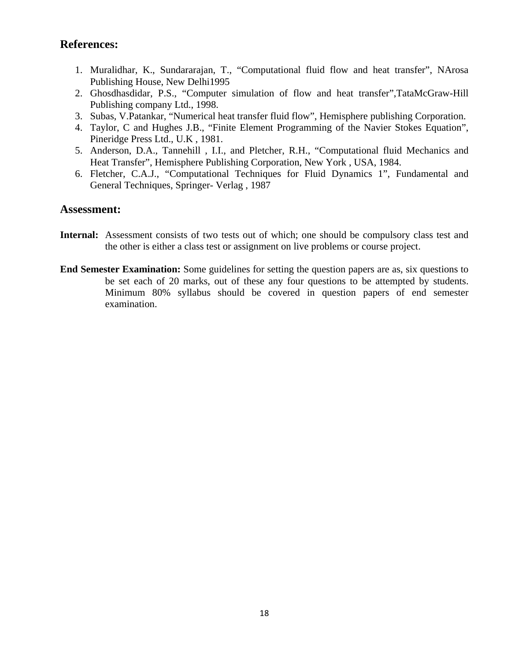- 1. Muralidhar, K., Sundararajan, T., "Computational fluid flow and heat transfer", NArosa Publishing House, New Delhi1995
- 2. Ghosdhasdidar, P.S., "Computer simulation of flow and heat transfer",TataMcGraw-Hill Publishing company Ltd., 1998.
- 3. Subas, V.Patankar, "Numerical heat transfer fluid flow", Hemisphere publishing Corporation.
- 4. Taylor, C and Hughes J.B., "Finite Element Programming of the Navier Stokes Equation", Pineridge Press Ltd., U.K , 1981.
- 5. Anderson, D.A., Tannehill , I.I., and Pletcher, R.H., "Computational fluid Mechanics and Heat Transfer", Hemisphere Publishing Corporation, New York , USA, 1984.
- 6. Fletcher, C.A.J., "Computational Techniques for Fluid Dynamics 1", Fundamental and General Techniques, Springer- Verlag , 1987

- Internal: Assessment consists of two tests out of which; one should be compulsory class test and the other is either a class test or assignment on live problems or course project.
- **End Semester Examination:** Some guidelines for setting the question papers are as, six questions to be set each of 20 marks, out of these any four questions to be attempted by students. Minimum 80% syllabus should be covered in question papers of end semester examination.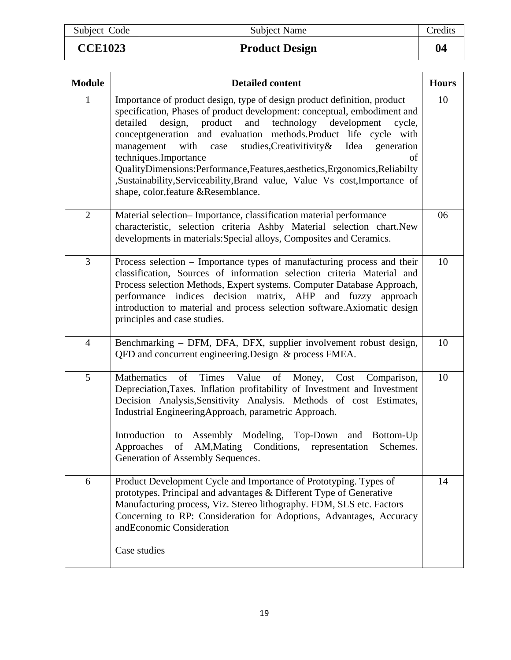# **CCE1023** Product Design

| <b>Module</b>  | <b>Detailed content</b>                                                                                                                                                                                                                                                                                                                                                                                                                                                                                                                                                                              | <b>Hours</b> |
|----------------|------------------------------------------------------------------------------------------------------------------------------------------------------------------------------------------------------------------------------------------------------------------------------------------------------------------------------------------------------------------------------------------------------------------------------------------------------------------------------------------------------------------------------------------------------------------------------------------------------|--------------|
| $\mathbf{1}$   | Importance of product design, type of design product definition, product<br>specification, Phases of product development: conceptual, embodiment and<br>technology development<br>design, product<br>and<br>detailed<br>cycle,<br>conceptgeneration and evaluation methods.Product life cycle with<br>management with case studies, Creativitivity & Idea<br>generation<br>techniques.Importance<br>of<br>QualityDimensions:Performance,Features,aesthetics,Ergonomics,Reliabilty<br>,Sustainability,Serviceability,Brand value, Value Vs cost,Importance of<br>shape, color, feature & Resemblance. | 10           |
| $\overline{2}$ | Material selection-Importance, classification material performance<br>characteristic, selection criteria Ashby Material selection chart.New<br>developments in materials: Special alloys, Composites and Ceramics.                                                                                                                                                                                                                                                                                                                                                                                   | 06           |
| 3              | Process selection – Importance types of manufacturing process and their<br>classification, Sources of information selection criteria Material and<br>Process selection Methods, Expert systems. Computer Database Approach,<br>performance indices decision matrix, AHP and fuzzy approach<br>introduction to material and process selection software. Axiomatic design<br>principles and case studies.                                                                                                                                                                                              | 10           |
| 4              | Benchmarking – DFM, DFA, DFX, supplier involvement robust design,<br>QFD and concurrent engineering. Design & process FMEA.                                                                                                                                                                                                                                                                                                                                                                                                                                                                          | 10           |
| 5              | Mathematics<br>of<br>Times<br>Value<br>of<br>Money,<br>Cost<br>Comparison,<br>Depreciation, Taxes. Inflation profitability of Investment and Investment<br>Decision Analysis, Sensitivity Analysis. Methods of cost Estimates,<br>Industrial EngineeringApproach, parametric Approach.<br>Introduction to Assembly Modeling, Top-Down and Bottom-Up<br>Approaches of AM, Mating Conditions, representation<br>Schemes.<br>Generation of Assembly Sequences.                                                                                                                                          | 10           |
| 6              | Product Development Cycle and Importance of Prototyping. Types of<br>prototypes. Principal and advantages & Different Type of Generative<br>Manufacturing process, Viz. Stereo lithography. FDM, SLS etc. Factors<br>Concerning to RP: Consideration for Adoptions, Advantages, Accuracy<br>andEconomic Consideration<br>Case studies                                                                                                                                                                                                                                                                | 14           |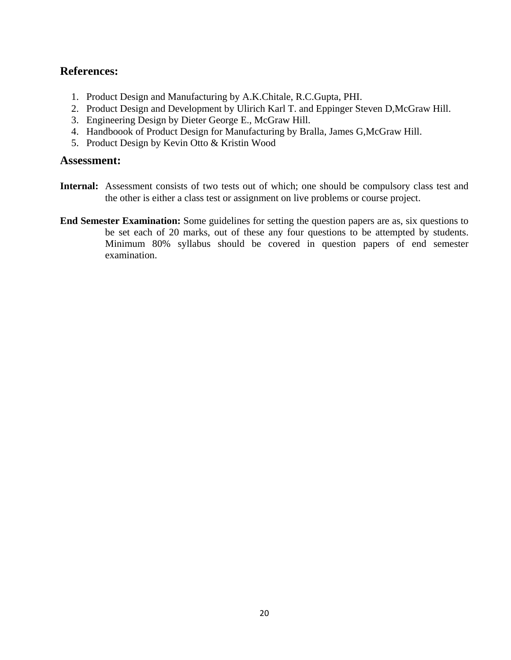- 1. Product Design and Manufacturing by A.K.Chitale, R.C.Gupta, PHI.
- 2. Product Design and Development by Ulirich Karl T. and Eppinger Steven D,McGraw Hill.
- 3. Engineering Design by Dieter George E., McGraw Hill.
- 4. Handboook of Product Design for Manufacturing by Bralla, James G,McGraw Hill.
- 5. Product Design by Kevin Otto & Kristin Wood

- **Internal:** Assessment consists of two tests out of which; one should be compulsory class test and the other is either a class test or assignment on live problems or course project.
- **End Semester Examination:** Some guidelines for setting the question papers are as, six questions to be set each of 20 marks, out of these any four questions to be attempted by students. Minimum 80% syllabus should be covered in question papers of end semester examination.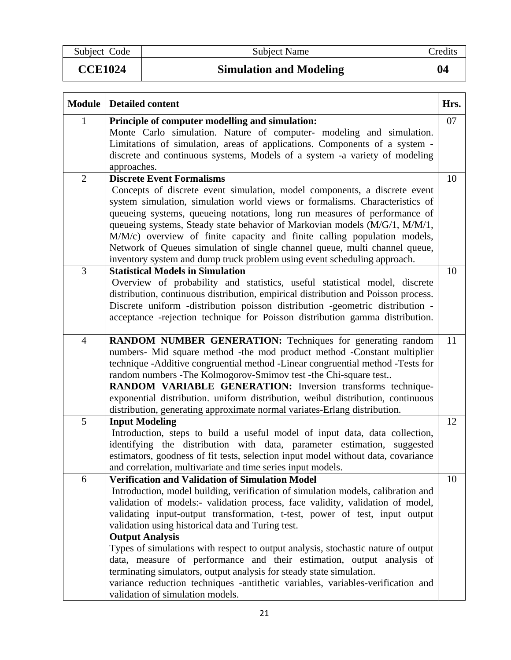Subject Code Subject Name Credits

**CCE1024** Simulation and Modeling **04 <b>04 04 0** 

| ۱Z<br>ı |  |
|---------|--|
|         |  |

| <b>Module</b>  | <b>Detailed content</b>                                                                                                                                          | Hrs. |
|----------------|------------------------------------------------------------------------------------------------------------------------------------------------------------------|------|
| 1              | Principle of computer modelling and simulation:                                                                                                                  | 07   |
|                | Monte Carlo simulation. Nature of computer- modeling and simulation.                                                                                             |      |
|                | Limitations of simulation, areas of applications. Components of a system -                                                                                       |      |
|                | discrete and continuous systems, Models of a system -a variety of modeling                                                                                       |      |
|                | approaches.                                                                                                                                                      |      |
| $\overline{2}$ | <b>Discrete Event Formalisms</b>                                                                                                                                 | 10   |
|                | Concepts of discrete event simulation, model components, a discrete event                                                                                        |      |
|                | system simulation, simulation world views or formalisms. Characteristics of                                                                                      |      |
|                | queueing systems, queueing notations, long run measures of performance of                                                                                        |      |
|                | queueing systems, Steady state behavior of Markovian models (M/G/1, M/M/1,                                                                                       |      |
|                | M/M/c) overview of finite capacity and finite calling population models,                                                                                         |      |
|                | Network of Queues simulation of single channel queue, multi channel queue,                                                                                       |      |
| 3              | inventory system and dump truck problem using event scheduling approach.<br><b>Statistical Models in Simulation</b>                                              |      |
|                |                                                                                                                                                                  | 10   |
|                | Overview of probability and statistics, useful statistical model, discrete<br>distribution, continuous distribution, empirical distribution and Poisson process. |      |
|                | Discrete uniform -distribution poisson distribution -geometric distribution -                                                                                    |      |
|                | acceptance -rejection technique for Poisson distribution gamma distribution.                                                                                     |      |
|                |                                                                                                                                                                  |      |
| $\overline{4}$ | <b>RANDOM NUMBER GENERATION:</b> Techniques for generating random                                                                                                | 11   |
|                | numbers- Mid square method - the mod product method - Constant multiplier                                                                                        |      |
|                | technique -Additive congruential method -Linear congruential method -Tests for                                                                                   |      |
|                | random numbers - The Kolmogorov-Smimov test - the Chi-square test                                                                                                |      |
|                | RANDOM VARIABLE GENERATION: Inversion transforms technique-                                                                                                      |      |
|                | exponential distribution. uniform distribution, weibul distribution, continuous                                                                                  |      |
|                | distribution, generating approximate normal variates-Erlang distribution.                                                                                        |      |
| 5              | <b>Input Modeling</b>                                                                                                                                            | 12   |
|                | Introduction, steps to build a useful model of input data, data collection,<br>identifying the distribution with data, parameter estimation, suggested           |      |
|                | estimators, goodness of fit tests, selection input model without data, covariance                                                                                |      |
|                | and correlation, multivariate and time series input models.                                                                                                      |      |
| 6              | <b>Verification and Validation of Simulation Model</b>                                                                                                           | 10   |
|                | Introduction, model building, verification of simulation models, calibration and                                                                                 |      |
|                | validation of models:- validation process, face validity, validation of model,                                                                                   |      |
|                | validating input-output transformation, t-test, power of test, input output                                                                                      |      |
|                | validation using historical data and Turing test.                                                                                                                |      |
|                | <b>Output Analysis</b>                                                                                                                                           |      |
|                | Types of simulations with respect to output analysis, stochastic nature of output                                                                                |      |
|                | data, measure of performance and their estimation, output analysis of                                                                                            |      |
|                | terminating simulators, output analysis for steady state simulation.                                                                                             |      |
|                | variance reduction techniques -antithetic variables, variables-verification and                                                                                  |      |
|                | validation of simulation models.                                                                                                                                 |      |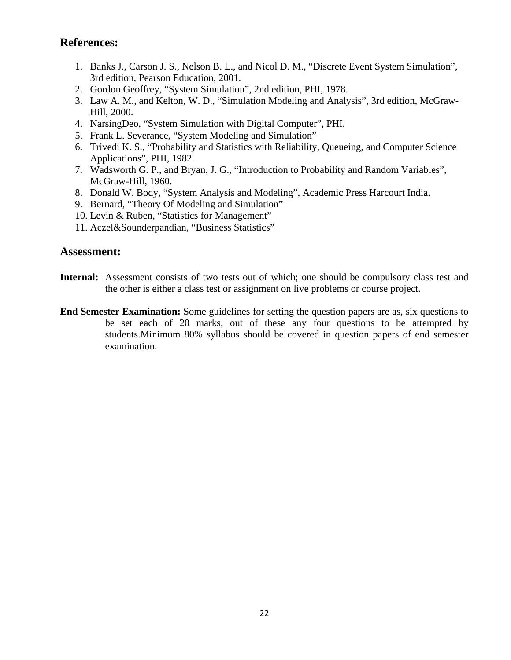- 1. Banks J., Carson J. S., Nelson B. L., and Nicol D. M., "Discrete Event System Simulation", 3rd edition, Pearson Education, 2001.
- 2. Gordon Geoffrey, "System Simulation", 2nd edition, PHI, 1978.
- 3. Law A. M., and Kelton, W. D., "Simulation Modeling and Analysis", 3rd edition, McGraw-Hill, 2000.
- 4. NarsingDeo, "System Simulation with Digital Computer", PHI.
- 5. Frank L. Severance, "System Modeling and Simulation"
- 6. Trivedi K. S., "Probability and Statistics with Reliability, Queueing, and Computer Science Applications", PHI, 1982.
- 7. Wadsworth G. P., and Bryan, J. G., "Introduction to Probability and Random Variables", McGraw-Hill, 1960.
- 8. Donald W. Body, "System Analysis and Modeling", Academic Press Harcourt India.
- 9. Bernard, "Theory Of Modeling and Simulation"
- 10. Levin & Ruben, "Statistics for Management"
- 11. Aczel&Sounderpandian, "Business Statistics"

- **Internal:** Assessment consists of two tests out of which; one should be compulsory class test and the other is either a class test or assignment on live problems or course project.
- **End Semester Examination:** Some guidelines for setting the question papers are as, six questions to be set each of 20 marks, out of these any four questions to be attempted by students.Minimum 80% syllabus should be covered in question papers of end semester examination.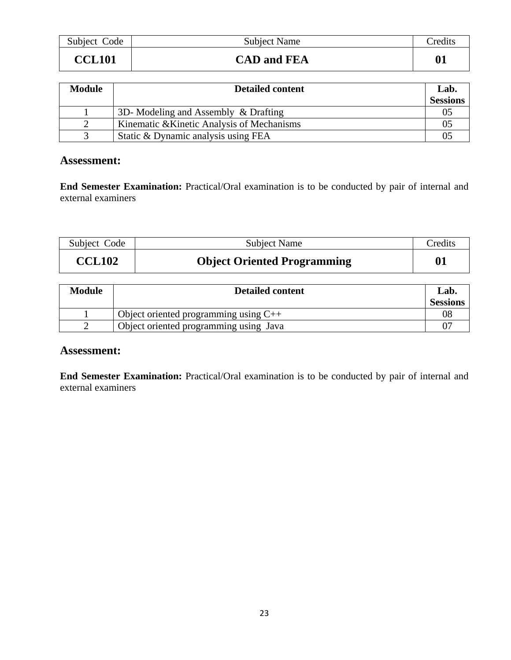| Subject Code  | <b>Subject Name</b> | Credits |
|---------------|---------------------|---------|
| <b>CCL101</b> | <b>CAD and FEA</b>  | 01      |

| <b>Module</b> | <b>Detailed content</b>                    | Lab.            |
|---------------|--------------------------------------------|-----------------|
|               |                                            | <b>Sessions</b> |
|               | 3D- Modeling and Assembly & Drafting       | 05              |
|               | Kinematic & Kinetic Analysis of Mechanisms | 0 <sup>2</sup>  |
|               | Static & Dynamic analysis using FEA        |                 |

#### **Assessment:**

**End Semester Examination:** Practical/Oral examination is to be conducted by pair of internal and external examiners

| Subject Code  | <b>Subject Name</b>                | Credits |
|---------------|------------------------------------|---------|
| <b>CCL102</b> | <b>Object Oriented Programming</b> |         |

| <b>Module</b> | <b>Detailed content</b>                 | Lab.            |
|---------------|-----------------------------------------|-----------------|
|               |                                         | <b>Sessions</b> |
|               | Object oriented programming using $C++$ |                 |
|               | Object oriented programming using Java  |                 |

#### **Assessment:**

**End Semester Examination:** Practical/Oral examination is to be conducted by pair of internal and external examiners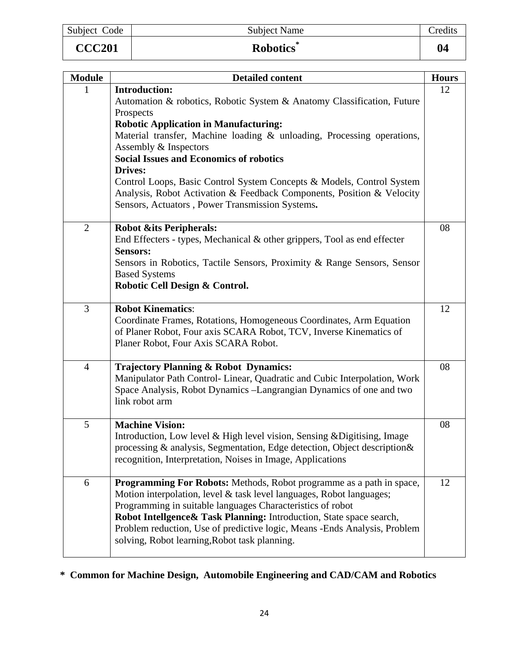| Subject Code  | <b>Subject Name</b> | Tredits      |
|---------------|---------------------|--------------|
| <b>CCC201</b> | <b>Robotics</b>     | $\mathbf{0}$ |

| <b>Module</b>  | <b>Detailed content</b>                                                                                                                                                                                                                                                                                                                                                                                          | <b>Hours</b> |
|----------------|------------------------------------------------------------------------------------------------------------------------------------------------------------------------------------------------------------------------------------------------------------------------------------------------------------------------------------------------------------------------------------------------------------------|--------------|
| 1              | <b>Introduction:</b><br>Automation & robotics, Robotic System & Anatomy Classification, Future<br>Prospects<br><b>Robotic Application in Manufacturing:</b>                                                                                                                                                                                                                                                      | 12           |
|                | Material transfer, Machine loading & unloading, Processing operations,<br>Assembly & Inspectors<br><b>Social Issues and Economics of robotics</b>                                                                                                                                                                                                                                                                |              |
|                | <b>Drives:</b><br>Control Loops, Basic Control System Concepts & Models, Control System<br>Analysis, Robot Activation & Feedback Components, Position & Velocity<br>Sensors, Actuators, Power Transmission Systems.                                                                                                                                                                                              |              |
| $\overline{2}$ | <b>Robot &amp;its Peripherals:</b><br>End Effecters - types, Mechanical $\&$ other grippers, Tool as end effecter<br><b>Sensors:</b><br>Sensors in Robotics, Tactile Sensors, Proximity & Range Sensors, Sensor<br><b>Based Systems</b><br>Robotic Cell Design & Control.                                                                                                                                        | 08           |
| 3              | <b>Robot Kinematics:</b><br>Coordinate Frames, Rotations, Homogeneous Coordinates, Arm Equation<br>of Planer Robot, Four axis SCARA Robot, TCV, Inverse Kinematics of<br>Planer Robot, Four Axis SCARA Robot.                                                                                                                                                                                                    | 12           |
| $\overline{4}$ | <b>Trajectory Planning &amp; Robot Dynamics:</b><br>Manipulator Path Control- Linear, Quadratic and Cubic Interpolation, Work<br>Space Analysis, Robot Dynamics -Langrangian Dynamics of one and two<br>link robot arm                                                                                                                                                                                           | 08           |
| 5              | <b>Machine Vision:</b><br>Introduction, Low level & High level vision, Sensing & Digitising, Image<br>processing & analysis, Segmentation, Edge detection, Object description &<br>recognition, Interpretation, Noises in Image, Applications                                                                                                                                                                    | 08           |
| 6              | Programming For Robots: Methods, Robot programme as a path in space,<br>Motion interpolation, level & task level languages, Robot languages;<br>Programming in suitable languages Characteristics of robot<br>Robot Intellgence & Task Planning: Introduction, State space search,<br>Problem reduction, Use of predictive logic, Means -Ends Analysis, Problem<br>solving, Robot learning, Robot task planning. | 12           |

# **\* Common for Machine Design, Automobile Engineering and CAD/CAM and Robotics**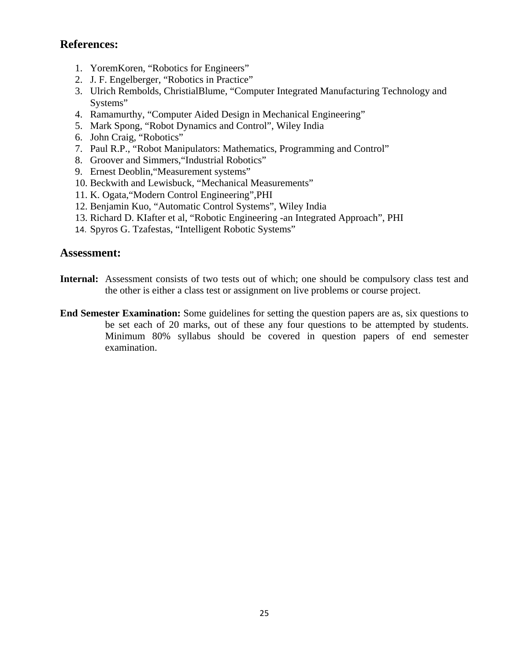- 1. YoremKoren, "Robotics for Engineers"
- 2. J. F. Engelberger, "Robotics in Practice"
- 3. Ulrich Rembolds, ChristialBlume, "Computer Integrated Manufacturing Technology and Systems"
- 4. Ramamurthy, "Computer Aided Design in Mechanical Engineering"
- 5. Mark Spong, "Robot Dynamics and Control", Wiley India
- 6. John Craig, "Robotics"
- 7. Paul R.P., "Robot Manipulators: Mathematics, Programming and Control"
- 8. Groover and Simmers,"Industrial Robotics"
- 9. Ernest Deoblin,"Measurement systems"
- 10. Beckwith and Lewisbuck, "Mechanical Measurements"
- 11. K. Ogata,"Modern Control Engineering",PHI
- 12. Benjamin Kuo, "Automatic Control Systems", Wiley India
- 13. Richard D. KIafter et al, "Robotic Engineering -an Integrated Approach", PHI
- 14. Spyros G. Tzafestas, "Intelligent Robotic Systems"

- **Internal:** Assessment consists of two tests out of which; one should be compulsory class test and the other is either a class test or assignment on live problems or course project.
- **End Semester Examination:** Some guidelines for setting the question papers are as, six questions to be set each of 20 marks, out of these any four questions to be attempted by students. Minimum 80% syllabus should be covered in question papers of end semester examination.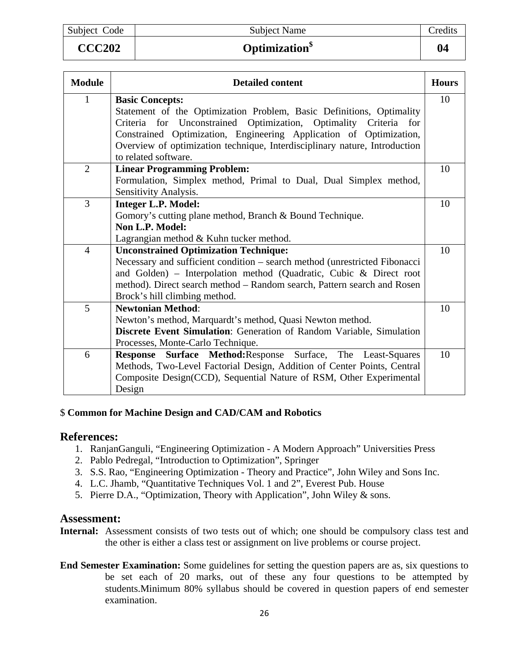| Subject Code | <b>Subject Name</b>              | redits       |
|--------------|----------------------------------|--------------|
| CCC202       | <b>Optimization</b> <sup>•</sup> | $\mathbf{0}$ |

| Optimization |  |  |
|--------------|--|--|
|              |  |  |

| <b>Module</b>  | <b>Detailed content</b>                                                    | <b>Hours</b> |
|----------------|----------------------------------------------------------------------------|--------------|
| $\mathbf{1}$   | <b>Basic Concepts:</b>                                                     | 10           |
|                | Statement of the Optimization Problem, Basic Definitions, Optimality       |              |
|                | Criteria for Unconstrained Optimization, Optimality Criteria for           |              |
|                | Constrained Optimization, Engineering Application of Optimization,         |              |
|                | Overview of optimization technique, Interdisciplinary nature, Introduction |              |
|                | to related software.                                                       |              |
| $\overline{2}$ | <b>Linear Programming Problem:</b>                                         | 10           |
|                | Formulation, Simplex method, Primal to Dual, Dual Simplex method,          |              |
|                | Sensitivity Analysis.                                                      |              |
| 3              | <b>Integer L.P. Model:</b>                                                 | 10           |
|                | Gomory's cutting plane method, Branch & Bound Technique.                   |              |
|                | Non L.P. Model:                                                            |              |
|                | Lagrangian method & Kuhn tucker method.                                    |              |
| $\overline{4}$ | <b>Unconstrained Optimization Technique:</b>                               | 10           |
|                | Necessary and sufficient condition – search method (unrestricted Fibonacci |              |
|                | and Golden) – Interpolation method (Quadratic, Cubic & Direct root         |              |
|                | method). Direct search method – Random search, Pattern search and Rosen    |              |
|                | Brock's hill climbing method.                                              |              |
| 5              | <b>Newtonian Method:</b>                                                   | 10           |
|                | Newton's method, Marquardt's method, Quasi Newton method.                  |              |
|                | Discrete Event Simulation: Generation of Random Variable, Simulation       |              |
|                | Processes, Monte-Carlo Technique.                                          |              |
| 6              | Response Surface Method: Response Surface, The Least-Squares               | 10           |
|                | Methods, Two-Level Factorial Design, Addition of Center Points, Central    |              |
|                | Composite Design(CCD), Sequential Nature of RSM, Other Experimental        |              |
|                | Design                                                                     |              |

#### \$ **Common for Machine Design and CAD/CAM and Robotics**

#### **References:**

- 1. RanjanGanguli, "Engineering Optimization A Modern Approach" Universities Press
- 2. Pablo Pedregal, "Introduction to Optimization", Springer
- 3. S.S. Rao, "Engineering Optimization Theory and Practice", John Wiley and Sons Inc.
- 4. L.C. Jhamb, "Quantitative Techniques Vol. 1 and 2", Everest Pub. House
- 5. Pierre D.A., "Optimization, Theory with Application", John Wiley & sons.

- **Internal:** Assessment consists of two tests out of which; one should be compulsory class test and the other is either a class test or assignment on live problems or course project.
- **End Semester Examination:** Some guidelines for setting the question papers are as, six questions to be set each of 20 marks, out of these any four questions to be attempted by students.Minimum 80% syllabus should be covered in question papers of end semester examination.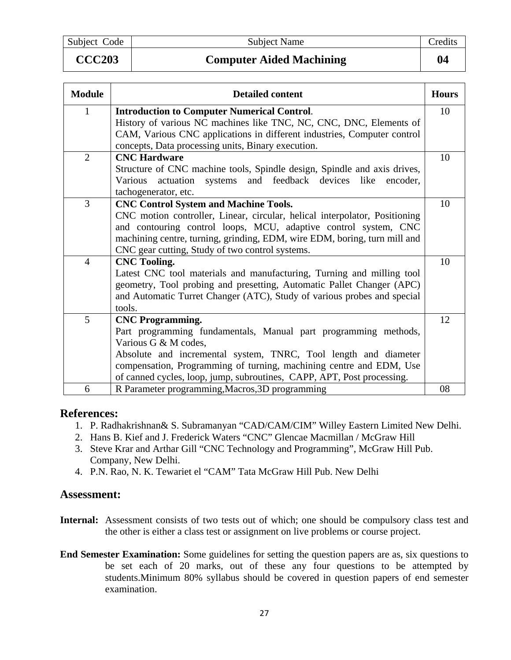Subject Code Subject Name Subject Name Credits

### **CCC203 Computer Aided Machining 04**

| <b>Module</b>  | <b>Detailed content</b>                                                    | <b>Hours</b> |
|----------------|----------------------------------------------------------------------------|--------------|
| $\mathbf{1}$   | <b>Introduction to Computer Numerical Control.</b>                         | 10           |
|                | History of various NC machines like TNC, NC, CNC, DNC, Elements of         |              |
|                | CAM, Various CNC applications in different industries, Computer control    |              |
|                | concepts, Data processing units, Binary execution.                         |              |
| $\overline{2}$ | <b>CNC Hardware</b>                                                        | 10           |
|                | Structure of CNC machine tools, Spindle design, Spindle and axis drives,   |              |
|                | systems and feedback devices like<br>Various actuation<br>encoder.         |              |
|                | tachogenerator, etc.                                                       |              |
| 3              | <b>CNC Control System and Machine Tools.</b>                               | 10           |
|                | CNC motion controller, Linear, circular, helical interpolator, Positioning |              |
|                | and contouring control loops, MCU, adaptive control system, CNC            |              |
|                | machining centre, turning, grinding, EDM, wire EDM, boring, turn mill and  |              |
|                | CNC gear cutting, Study of two control systems.                            |              |
| $\overline{4}$ | <b>CNC Tooling.</b>                                                        | 10           |
|                | Latest CNC tool materials and manufacturing, Turning and milling tool      |              |
|                | geometry, Tool probing and presetting, Automatic Pallet Changer (APC)      |              |
|                | and Automatic Turret Changer (ATC), Study of various probes and special    |              |
|                | tools.                                                                     |              |
| 5              | <b>CNC Programming.</b>                                                    | 12           |
|                | Part programming fundamentals, Manual part programming methods,            |              |
|                | Various G & M codes,                                                       |              |
|                | Absolute and incremental system, TNRC, Tool length and diameter            |              |
|                | compensation, Programming of turning, machining centre and EDM, Use        |              |
|                | of canned cycles, loop, jump, subroutines, CAPP, APT, Post processing.     |              |
| 6              | R Parameter programming, Macros, 3D programming                            | 08           |

#### **References:**

- 1. P. Radhakrishnan& S. Subramanyan "CAD/CAM/CIM" Willey Eastern Limited New Delhi.
- 2. Hans B. Kief and J. Frederick Waters "CNC" Glencae Macmillan / McGraw Hill
- 3. Steve Krar and Arthar Gill "CNC Technology and Programming", McGraw Hill Pub. Company, New Delhi.
- 4. P.N. Rao, N. K. Tewariet el "CAM" Tata McGraw Hill Pub. New Delhi

- **Internal:** Assessment consists of two tests out of which; one should be compulsory class test and the other is either a class test or assignment on live problems or course project.
- **End Semester Examination:** Some guidelines for setting the question papers are as, six questions to be set each of 20 marks, out of these any four questions to be attempted by students.Minimum 80% syllabus should be covered in question papers of end semester examination.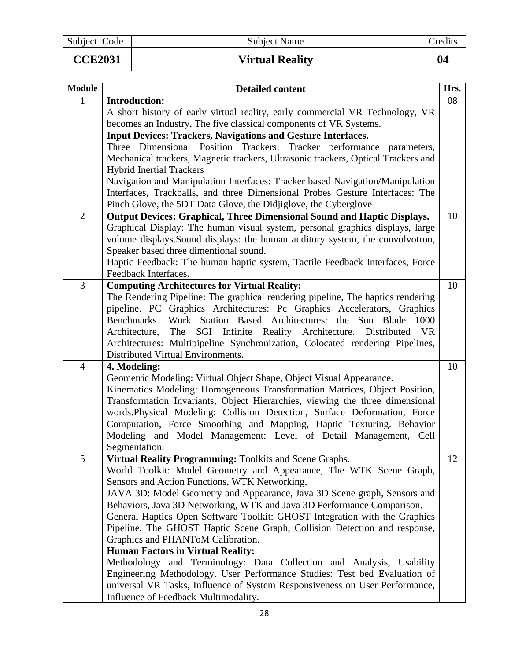Subject Code Subject Name Credits CCE2031 Virtual Reality 104

| <b>Module</b>  | <b>Detailed content</b>                                                                                              | Hrs. |
|----------------|----------------------------------------------------------------------------------------------------------------------|------|
| 1              | <b>Introduction:</b>                                                                                                 | 08   |
|                | A short history of early virtual reality, early commercial VR Technology, VR                                         |      |
|                | becomes an Industry, The five classical components of VR Systems.                                                    |      |
|                | <b>Input Devices: Trackers, Navigations and Gesture Interfaces.</b>                                                  |      |
|                | Three Dimensional Position Trackers: Tracker performance parameters,                                                 |      |
|                | Mechanical trackers, Magnetic trackers, Ultrasonic trackers, Optical Trackers and<br><b>Hybrid Inertial Trackers</b> |      |
|                | Navigation and Manipulation Interfaces: Tracker based Navigation/Manipulation                                        |      |
|                | Interfaces, Trackballs, and three Dimensional Probes Gesture Interfaces: The                                         |      |
|                | Pinch Glove, the 5DT Data Glove, the Didjiglove, the Cyberglove                                                      |      |
| $\overline{2}$ | <b>Output Devices: Graphical, Three Dimensional Sound and Haptic Displays.</b>                                       | 10   |
|                | Graphical Display: The human visual system, personal graphics displays, large                                        |      |
|                | volume displays. Sound displays: the human auditory system, the convolvotron,                                        |      |
|                | Speaker based three dimentional sound.                                                                               |      |
|                | Haptic Feedback: The human haptic system, Tactile Feedback Interfaces, Force                                         |      |
|                | Feedback Interfaces.                                                                                                 |      |
| 3              | <b>Computing Architectures for Virtual Reality:</b>                                                                  | 10   |
|                | The Rendering Pipeline: The graphical rendering pipeline, The haptics rendering                                      |      |
|                | pipeline. PC Graphics Architectures: Pc Graphics Accelerators, Graphics                                              |      |
|                | Benchmarks. Work Station Based Architectures: the Sun Blade<br>1000                                                  |      |
|                | The SGI Infinite Reality Architecture. Distributed VR<br>Architecture,                                               |      |
|                | Architectures: Multipipeline Synchronization, Colocated rendering Pipelines,                                         |      |
|                | Distributed Virtual Environments.                                                                                    |      |
| $\overline{4}$ | 4. Modeling:                                                                                                         | 10   |
|                | Geometric Modeling: Virtual Object Shape, Object Visual Appearance.                                                  |      |
|                | Kinematics Modeling: Homogeneous Transformation Matrices, Object Position,                                           |      |
|                | Transformation Invariants, Object Hierarchies, viewing the three dimensional                                         |      |
|                | words.Physical Modeling: Collision Detection, Surface Deformation, Force                                             |      |
|                | Computation, Force Smoothing and Mapping, Haptic Texturing. Behavior                                                 |      |
|                | Modeling and Model Management: Level of Detail Management, Cell                                                      |      |
|                | Segmentation.                                                                                                        |      |
| 5              | Virtual Reality Programming: Toolkits and Scene Graphs.                                                              | 12   |
|                | World Toolkit: Model Geometry and Appearance, The WTK Scene Graph,                                                   |      |
|                | Sensors and Action Functions, WTK Networking,                                                                        |      |
|                | JAVA 3D: Model Geometry and Appearance, Java 3D Scene graph, Sensors and                                             |      |
|                | Behaviors, Java 3D Networking, WTK and Java 3D Performance Comparison.                                               |      |
|                | General Haptics Open Software Toolkit: GHOST Integration with the Graphics                                           |      |
|                | Pipeline, The GHOST Haptic Scene Graph, Collision Detection and response,                                            |      |
|                | Graphics and PHANToM Calibration.                                                                                    |      |
|                | <b>Human Factors in Virtual Reality:</b>                                                                             |      |
|                | Methodology and Terminology: Data Collection and Analysis, Usability                                                 |      |
|                | Engineering Methodology. User Performance Studies: Test bed Evaluation of                                            |      |
|                | universal VR Tasks, Influence of System Responsiveness on User Performance,                                          |      |
|                | Influence of Feedback Multimodality.                                                                                 |      |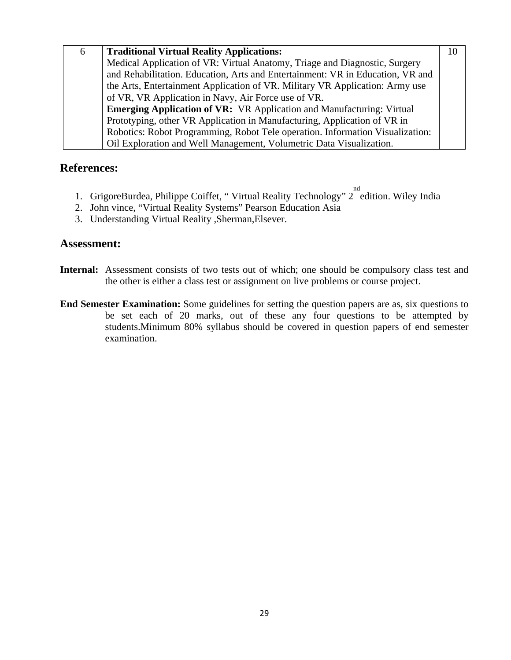| 6 | <b>Traditional Virtual Reality Applications:</b>                               | 10 |  |  |  |  |
|---|--------------------------------------------------------------------------------|----|--|--|--|--|
|   | Medical Application of VR: Virtual Anatomy, Triage and Diagnostic, Surgery     |    |  |  |  |  |
|   | and Rehabilitation. Education, Arts and Entertainment: VR in Education, VR and |    |  |  |  |  |
|   | the Arts, Entertainment Application of VR. Military VR Application: Army use   |    |  |  |  |  |
|   | of VR, VR Application in Navy, Air Force use of VR.                            |    |  |  |  |  |
|   | <b>Emerging Application of VR:</b> VR Application and Manufacturing: Virtual   |    |  |  |  |  |
|   | Prototyping, other VR Application in Manufacturing, Application of VR in       |    |  |  |  |  |
|   | Robotics: Robot Programming, Robot Tele operation. Information Visualization:  |    |  |  |  |  |
|   | Oil Exploration and Well Management, Volumetric Data Visualization.            |    |  |  |  |  |

- 1. GrigoreBurdea, Philippe Coiffet, "Virtual Reality Technology" 2<sup>nd</sup> edition. Wiley India
- 2. John vince, "Virtual Reality Systems" Pearson Education Asia
- 3. Understanding Virtual Reality ,Sherman,Elsever.

- **Internal:** Assessment consists of two tests out of which; one should be compulsory class test and the other is either a class test or assignment on live problems or course project.
- **End Semester Examination:** Some guidelines for setting the question papers are as, six questions to be set each of 20 marks, out of these any four questions to be attempted by students.Minimum 80% syllabus should be covered in question papers of end semester examination.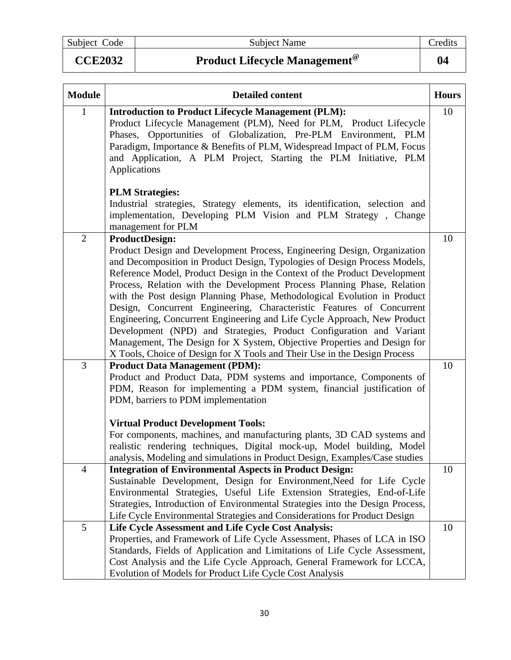Subject Code Subject Name Credits

# CCE2032 Product Lifecycle Management<sup>@</sup> 24

| <b>Module</b>  | <b>Detailed content</b>                                                                                                                                                                                                                                                                                                                                                                                                                                                                                                                                                                                                                                                                                                                                                                                 | <b>Hours</b> |
|----------------|---------------------------------------------------------------------------------------------------------------------------------------------------------------------------------------------------------------------------------------------------------------------------------------------------------------------------------------------------------------------------------------------------------------------------------------------------------------------------------------------------------------------------------------------------------------------------------------------------------------------------------------------------------------------------------------------------------------------------------------------------------------------------------------------------------|--------------|
| $\mathbf{1}$   | <b>Introduction to Product Lifecycle Management (PLM):</b><br>Product Lifecycle Management (PLM), Need for PLM, Product Lifecycle<br>Phases, Opportunities of Globalization, Pre-PLM Environment, PLM<br>Paradigm, Importance & Benefits of PLM, Widespread Impact of PLM, Focus<br>and Application, A PLM Project, Starting the PLM Initiative, PLM<br>Applications<br><b>PLM Strategies:</b>                                                                                                                                                                                                                                                                                                                                                                                                          | 10           |
|                | Industrial strategies, Strategy elements, its identification, selection and<br>implementation, Developing PLM Vision and PLM Strategy, Change<br>management for PLM                                                                                                                                                                                                                                                                                                                                                                                                                                                                                                                                                                                                                                     |              |
| $\overline{2}$ | <b>ProductDesign:</b><br>Product Design and Development Process, Engineering Design, Organization<br>and Decomposition in Product Design, Typologies of Design Process Models,<br>Reference Model, Product Design in the Context of the Product Development<br>Process, Relation with the Development Process Planning Phase, Relation<br>with the Post design Planning Phase, Methodological Evolution in Product<br>Design, Concurrent Engineering, Characteristic Features of Concurrent<br>Engineering, Concurrent Engineering and Life Cycle Approach, New Product<br>Development (NPD) and Strategies, Product Configuration and Variant<br>Management, The Design for X System, Objective Properties and Design for<br>X Tools, Choice of Design for X Tools and Their Use in the Design Process | 10           |
| 3              | <b>Product Data Management (PDM):</b><br>Product and Product Data, PDM systems and importance, Components of<br>PDM, Reason for implementing a PDM system, financial justification of<br>PDM, barriers to PDM implementation<br><b>Virtual Product Development Tools:</b><br>For components, machines, and manufacturing plants, 3D CAD systems and<br>realistic rendering techniques, Digital mock-up, Model building, Model<br>analysis, Modeling and simulations in Product Design, Examples/Case studies                                                                                                                                                                                                                                                                                            | 10           |
| $\overline{4}$ | <b>Integration of Environmental Aspects in Product Design:</b><br>Sustainable Development, Design for Environment, Need for Life Cycle<br>Environmental Strategies, Useful Life Extension Strategies, End-of-Life<br>Strategies, Introduction of Environmental Strategies into the Design Process,<br>Life Cycle Environmental Strategies and Considerations for Product Design                                                                                                                                                                                                                                                                                                                                                                                                                         | 10           |
| 5              | Life Cycle Assessment and Life Cycle Cost Analysis:<br>Properties, and Framework of Life Cycle Assessment, Phases of LCA in ISO<br>Standards, Fields of Application and Limitations of Life Cycle Assessment,<br>Cost Analysis and the Life Cycle Approach, General Framework for LCCA,<br>Evolution of Models for Product Life Cycle Cost Analysis                                                                                                                                                                                                                                                                                                                                                                                                                                                     | 10           |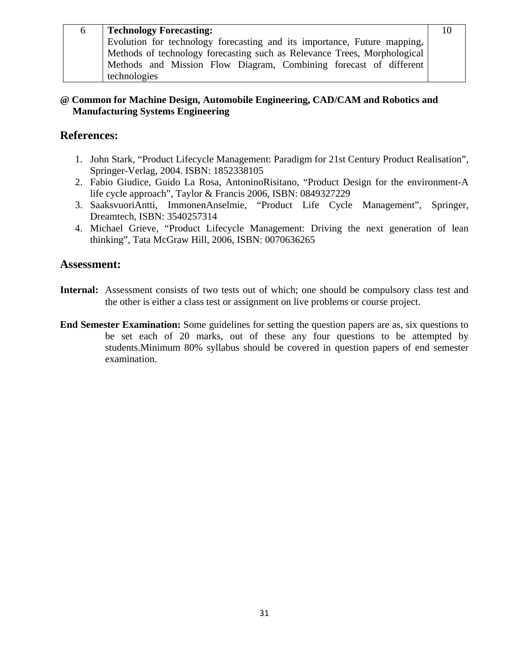| 6. | <b>Technology Forecasting:</b>                                           | 10 |
|----|--------------------------------------------------------------------------|----|
|    | Evolution for technology forecasting and its importance, Future mapping, |    |
|    | Methods of technology forecasting such as Relevance Trees, Morphological |    |
|    | Methods and Mission Flow Diagram, Combining forecast of different        |    |
|    | technologies                                                             |    |

#### **@ Common for Machine Design, Automobile Engineering, CAD/CAM and Robotics and Manufacturing Systems Engineering**

#### **References:**

- 1. John Stark, "Product Lifecycle Management: Paradigm for 21st Century Product Realisation", Springer-Verlag, 2004. ISBN: 1852338105
- 2. Fabio Giudice, Guido La Rosa, AntoninoRisitano, "Product Design for the environment-A life cycle approach", Taylor & Francis 2006, ISBN: 0849327229
- 3. SaaksvuoriAntti, ImmonenAnselmie, "Product Life Cycle Management", Springer, Dreamtech, ISBN: 3540257314
- 4. Michael Grieve, "Product Lifecycle Management: Driving the next generation of lean thinking", Tata McGraw Hill, 2006, ISBN: 0070636265

- **Internal:** Assessment consists of two tests out of which; one should be compulsory class test and the other is either a class test or assignment on live problems or course project.
- **End Semester Examination:** Some guidelines for setting the question papers are as, six questions to be set each of 20 marks, out of these any four questions to be attempted by students.Minimum 80% syllabus should be covered in question papers of end semester examination.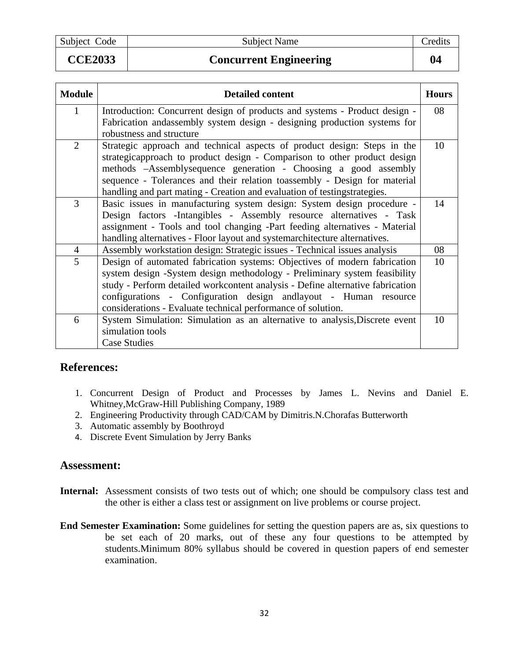Subject Code Subject Name Subject Name Credits

**CCE2033 Concurrent Engineering 04** 

| <b>Module</b>  | <b>Detailed content</b>                                                        | <b>Hours</b> |
|----------------|--------------------------------------------------------------------------------|--------------|
| 1              | Introduction: Concurrent design of products and systems - Product design -     | 08           |
|                | Fabrication and assembly system design - designing production systems for      |              |
|                | robustness and structure                                                       |              |
| $\overline{2}$ | Strategic approach and technical aspects of product design: Steps in the       | 10           |
|                | strategicapproach to product design - Comparison to other product design       |              |
|                | methods -Assemblysequence generation - Choosing a good assembly                |              |
|                | sequence - Tolerances and their relation toassembly - Design for material      |              |
|                | handling and part mating - Creation and evaluation of testingstrategies.       |              |
| 3              | Basic issues in manufacturing system design: System design procedure -         | 14           |
|                | Design factors - Intangibles - Assembly resource alternatives - Task           |              |
|                | assignment - Tools and tool changing -Part feeding alternatives - Material     |              |
|                | handling alternatives - Floor layout and systemarchitecture alternatives.      |              |
| $\overline{4}$ | Assembly workstation design: Strategic issues - Technical issues analysis      | 08           |
| 5              | Design of automated fabrication systems: Objectives of modern fabrication      | 10           |
|                | system design -System design methodology - Preliminary system feasibility      |              |
|                | study - Perform detailed workcontent analysis - Define alternative fabrication |              |
|                | configurations - Configuration design and layout - Human resource              |              |
|                | considerations - Evaluate technical performance of solution.                   |              |
| 6              | System Simulation: Simulation as an alternative to analysis, Discrete event    | 10           |
|                | simulation tools                                                               |              |
|                | Case Studies                                                                   |              |

### **References:**

- 1. Concurrent Design of Product and Processes by James L. Nevins and Daniel E. Whitney,McGraw-Hill Publishing Company, 1989
- 2. Engineering Productivity through CAD/CAM by Dimitris.N.Chorafas Butterworth
- 3. Automatic assembly by Boothroyd
- 4. Discrete Event Simulation by Jerry Banks

- **Internal:** Assessment consists of two tests out of which; one should be compulsory class test and the other is either a class test or assignment on live problems or course project.
- **End Semester Examination:** Some guidelines for setting the question papers are as, six questions to be set each of 20 marks, out of these any four questions to be attempted by students.Minimum 80% syllabus should be covered in question papers of end semester examination.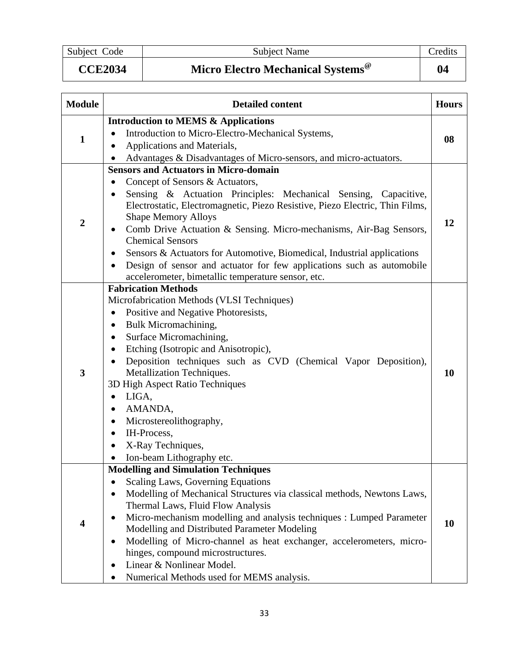Subject Code Subject Name Credits

**CCE2034 Micro Electro Mechanical Systems@ 04** 

| <b>Module</b>    | <b>Detailed content</b>                                                                                                                                                                                                                                                                                                                                                                                                                                                                                                                                                          |  |  |  |
|------------------|----------------------------------------------------------------------------------------------------------------------------------------------------------------------------------------------------------------------------------------------------------------------------------------------------------------------------------------------------------------------------------------------------------------------------------------------------------------------------------------------------------------------------------------------------------------------------------|--|--|--|
| $\mathbf{1}$     | <b>Introduction to MEMS &amp; Applications</b><br>Introduction to Micro-Electro-Mechanical Systems,<br>Applications and Materials,<br>Advantages & Disadvantages of Micro-sensors, and micro-actuators.                                                                                                                                                                                                                                                                                                                                                                          |  |  |  |
| $\boldsymbol{2}$ | <b>Sensors and Actuators in Micro-domain</b><br>Concept of Sensors & Actuators,<br>٠<br>Sensing & Actuation Principles: Mechanical Sensing, Capacitive,<br>Electrostatic, Electromagnetic, Piezo Resistive, Piezo Electric, Thin Films,<br><b>Shape Memory Alloys</b><br>Comb Drive Actuation & Sensing. Micro-mechanisms, Air-Bag Sensors,<br><b>Chemical Sensors</b><br>Sensors & Actuators for Automotive, Biomedical, Industrial applications<br>Design of sensor and actuator for few applications such as automobile<br>accelerometer, bimetallic temperature sensor, etc. |  |  |  |
| 3                | <b>Fabrication Methods</b><br>Microfabrication Methods (VLSI Techniques)<br>Positive and Negative Photoresists,<br>$\bullet$<br>Bulk Micromachining,<br>$\bullet$<br>Surface Micromachining,<br>٠<br>Etching (Isotropic and Anisotropic),<br>Deposition techniques such as CVD (Chemical Vapor Deposition),<br>Metallization Techniques.<br>3D High Aspect Ratio Techniques<br>LIGA,<br>$\bullet$<br>AMANDA,<br>٠<br>Microstereolithography,<br>٠<br>IH-Process,<br>X-Ray Techniques,                                                                                            |  |  |  |
|                  | Ion-beam Lithography etc.<br><b>Modelling and Simulation Techniques</b><br>Scaling Laws, Governing Equations<br>Modelling of Mechanical Structures via classical methods, Newtons Laws,<br>$\bullet$<br>Thermal Laws, Fluid Flow Analysis<br>Micro-mechanism modelling and analysis techniques : Lumped Parameter<br>Modelling and Distributed Parameter Modeling<br>Modelling of Micro-channel as heat exchanger, accelerometers, micro-<br>hinges, compound microstructures.<br>Linear & Nonlinear Model.<br>Numerical Methods used for MEMS analysis.                         |  |  |  |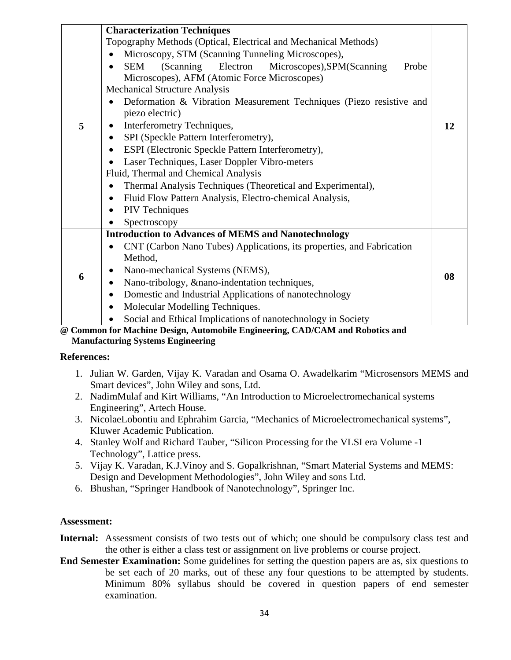| 5 | <b>Characterization Techniques</b><br>Topography Methods (Optical, Electrical and Mechanical Methods)<br>Microscopy, STM (Scanning Tunneling Microscopes),<br>SEM<br>(Scanning Electron Microscopes), SPM (Scanning<br>Probe<br>Microscopes), AFM (Atomic Force Microscopes)<br><b>Mechanical Structure Analysis</b><br>Deformation & Vibration Measurement Techniques (Piezo resistive and<br>piezo electric)<br>Interferometry Techniques,<br>SPI (Speckle Pattern Interferometry),<br>ESPI (Electronic Speckle Pattern Interferometry), | 12 |  |  |  |
|---|--------------------------------------------------------------------------------------------------------------------------------------------------------------------------------------------------------------------------------------------------------------------------------------------------------------------------------------------------------------------------------------------------------------------------------------------------------------------------------------------------------------------------------------------|----|--|--|--|
|   | Laser Techniques, Laser Doppler Vibro-meters<br>Fluid, Thermal and Chemical Analysis<br>Thermal Analysis Techniques (Theoretical and Experimental),<br>Fluid Flow Pattern Analysis, Electro-chemical Analysis,<br>$\bullet$<br><b>PIV</b> Techniques<br>$\bullet$                                                                                                                                                                                                                                                                          |    |  |  |  |
|   | Spectroscopy<br><b>Introduction to Advances of MEMS and Nanotechnology</b>                                                                                                                                                                                                                                                                                                                                                                                                                                                                 |    |  |  |  |
| 6 | CNT (Carbon Nano Tubes) Applications, its properties, and Fabrication<br>Method,<br>Nano-mechanical Systems (NEMS),<br>Nano-tribology, &nano-indentation techniques,<br>Domestic and Industrial Applications of nanotechnology<br>٠<br>Molecular Modelling Techniques.<br>$\bullet$<br>Social and Ethical Implications of nanotechnology in Society                                                                                                                                                                                        | 08 |  |  |  |
|   | $M_{\odot}$ denotes the distance of the Equation of the $\Omega$ (CAM $\sim$ J D denotes and                                                                                                                                                                                                                                                                                                                                                                                                                                               |    |  |  |  |

**@ Common for Machine Design, Automobile Engineering, CAD/CAM and Robotics and Manufacturing Systems Engineering** 

#### **References:**

- 1. Julian W. Garden, Vijay K. Varadan and Osama O. Awadelkarim "Microsensors MEMS and Smart devices", John Wiley and sons, Ltd.
- 2. NadimMulaf and Kirt Williams, "An Introduction to Microelectromechanical systems Engineering", Artech House.
- 3. NicolaeLobontiu and Ephrahim Garcia, "Mechanics of Microelectromechanical systems", Kluwer Academic Publication.
- 4. Stanley Wolf and Richard Tauber, "Silicon Processing for the VLSI era Volume -1 Technology", Lattice press.
- 5. Vijay K. Varadan, K.J.Vinoy and S. Gopalkrishnan, "Smart Material Systems and MEMS: Design and Development Methodologies", John Wiley and sons Ltd.
- 6. Bhushan, "Springer Handbook of Nanotechnology", Springer Inc.

- **Internal:** Assessment consists of two tests out of which; one should be compulsory class test and the other is either a class test or assignment on live problems or course project.
- **End Semester Examination:** Some guidelines for setting the question papers are as, six questions to be set each of 20 marks, out of these any four questions to be attempted by students. Minimum 80% syllabus should be covered in question papers of end semester examination.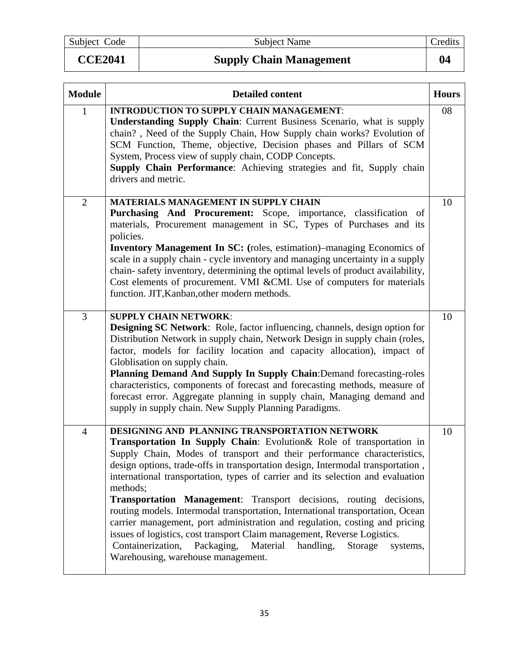Subject Code Subject Name Credits

# **CCE2041** Supply Chain Management 104

| <b>Module</b>  | <b>Detailed content</b><br><b>Hours</b>                                                                                                                                                                                                                                                                                                                                                                                                                                                                                                                                                                                                                                                                                                                                                                                         |    |  |  |
|----------------|---------------------------------------------------------------------------------------------------------------------------------------------------------------------------------------------------------------------------------------------------------------------------------------------------------------------------------------------------------------------------------------------------------------------------------------------------------------------------------------------------------------------------------------------------------------------------------------------------------------------------------------------------------------------------------------------------------------------------------------------------------------------------------------------------------------------------------|----|--|--|
| 1              | <b>INTRODUCTION TO SUPPLY CHAIN MANAGEMENT:</b><br><b>Understanding Supply Chain:</b> Current Business Scenario, what is supply<br>chain?, Need of the Supply Chain, How Supply chain works? Evolution of<br>SCM Function, Theme, objective, Decision phases and Pillars of SCM<br>System, Process view of supply chain, CODP Concepts.<br>Supply Chain Performance: Achieving strategies and fit, Supply chain<br>drivers and metric.                                                                                                                                                                                                                                                                                                                                                                                          | 08 |  |  |
| $\overline{2}$ | <b>MATERIALS MANAGEMENT IN SUPPLY CHAIN</b><br>Purchasing And Procurement: Scope, importance, classification of<br>materials, Procurement management in SC, Types of Purchases and its<br>policies.<br><b>Inventory Management In SC:</b> (roles, estimation)–managing Economics of<br>scale in a supply chain - cycle inventory and managing uncertainty in a supply<br>chain-safety inventory, determining the optimal levels of product availability,<br>Cost elements of procurement. VMI & CMI. Use of computers for materials<br>function. JIT, Kanban, other modern methods.                                                                                                                                                                                                                                             | 10 |  |  |
| 3              | <b>SUPPLY CHAIN NETWORK:</b><br><b>Designing SC Network:</b> Role, factor influencing, channels, design option for<br>Distribution Network in supply chain, Network Design in supply chain (roles,<br>factor, models for facility location and capacity allocation), impact of<br>Globlisation on supply chain.<br>Planning Demand And Supply In Supply Chain: Demand forecasting-roles<br>characteristics, components of forecast and forecasting methods, measure of<br>forecast error. Aggregate planning in supply chain, Managing demand and<br>supply in supply chain. New Supply Planning Paradigms.                                                                                                                                                                                                                     | 10 |  |  |
| $\overline{4}$ | DESIGNING AND PLANNING TRANSPORTATION NETWORK<br>Transportation In Supply Chain: Evolution& Role of transportation in<br>Supply Chain, Modes of transport and their performance characteristics,<br>design options, trade-offs in transportation design, Intermodal transportation,<br>international transportation, types of carrier and its selection and evaluation<br>methods;<br><b>Transportation Management:</b> Transport decisions, routing decisions,<br>routing models. Intermodal transportation, International transportation, Ocean<br>carrier management, port administration and regulation, costing and pricing<br>issues of logistics, cost transport Claim management, Reverse Logistics.<br>Containerization, Packaging,<br>Material handling,<br>Storage<br>systems,<br>Warehousing, warehouse management. | 10 |  |  |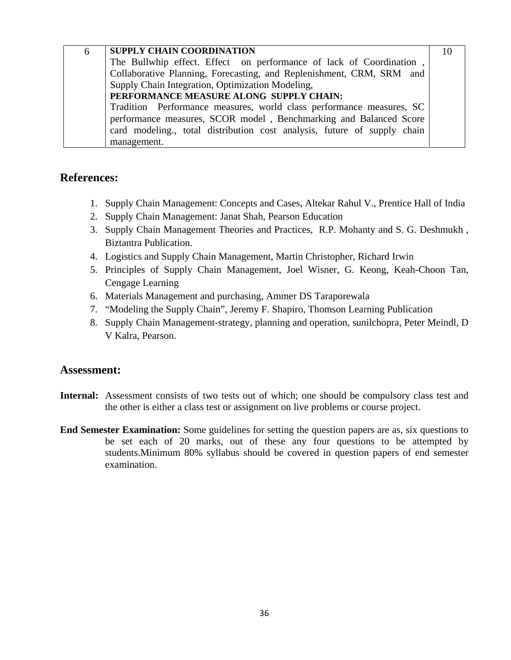| 6 | <b>SUPPLY CHAIN COORDINATION</b>                                        | 10 |  |  |  |
|---|-------------------------------------------------------------------------|----|--|--|--|
|   | The Bullwhip effect. Effect on performance of lack of Coordination,     |    |  |  |  |
|   | Collaborative Planning, Forecasting, and Replenishment, CRM, SRM and    |    |  |  |  |
|   | Supply Chain Integration, Optimization Modeling,                        |    |  |  |  |
|   | PERFORMANCE MEASURE ALONG SUPPLY CHAIN:                                 |    |  |  |  |
|   | Tradition Performance measures, world class performance measures, SC    |    |  |  |  |
|   | performance measures, SCOR model, Benchmarking and Balanced Score       |    |  |  |  |
|   | card modeling, total distribution cost analysis, future of supply chain |    |  |  |  |
|   | management.                                                             |    |  |  |  |

- 1. Supply Chain Management: Concepts and Cases, Altekar Rahul V., Prentice Hall of India
- 2. Supply Chain Management: Janat Shah, Pearson Education
- 3. Supply Chain Management Theories and Practices, R.P. Mohanty and S. G. Deshmukh , Biztantra Publication.
- 4. Logistics and Supply Chain Management, Martin Christopher, Richard Irwin
- 5. Principles of Supply Chain Management, Joel Wisner, G. Keong, Keah-Choon Tan, Cengage Learning
- 6. Materials Management and purchasing, Ammer DS Taraporewala
- 7. "Modeling the Supply Chain", Jeremy F. Shapiro, Thomson Learning Publication
- 8. Supply Chain Management-strategy, planning and operation, sunilchopra, Peter Meindl, D V Kalra, Pearson.

- **Internal:** Assessment consists of two tests out of which; one should be compulsory class test and the other is either a class test or assignment on live problems or course project.
- **End Semester Examination:** Some guidelines for setting the question papers are as, six questions to be set each of 20 marks, out of these any four questions to be attempted by students.Minimum 80% syllabus should be covered in question papers of end semester examination.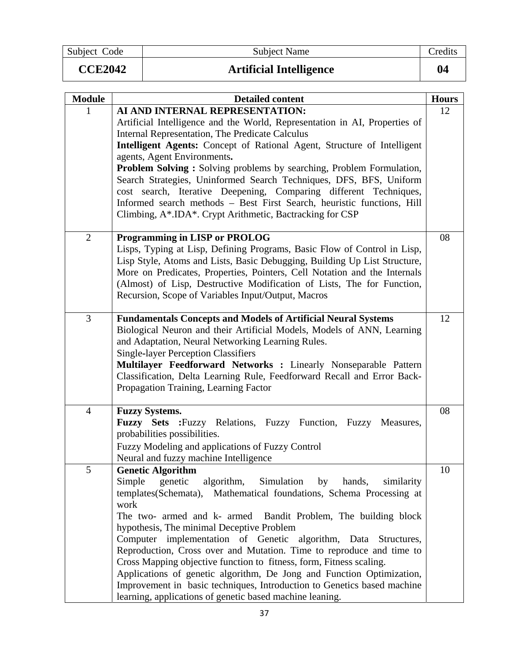Subject Code Subject Name Credits

| <b>CCE2042</b> | <b>Artificial Intelligence</b> |  |
|----------------|--------------------------------|--|
|                |                                |  |

| I<br>ı<br>ı |  |  |
|-------------|--|--|
|             |  |  |

| <b>Module</b>  | <b>Detailed content</b>                                                                                                                          | <b>Hours</b> |
|----------------|--------------------------------------------------------------------------------------------------------------------------------------------------|--------------|
| 1              | AI AND INTERNAL REPRESENTATION:                                                                                                                  | 12           |
|                | Artificial Intelligence and the World, Representation in AI, Properties of                                                                       |              |
|                | <b>Internal Representation, The Predicate Calculus</b>                                                                                           |              |
|                | Intelligent Agents: Concept of Rational Agent, Structure of Intelligent                                                                          |              |
|                | agents, Agent Environments.<br><b>Problem Solving:</b> Solving problems by searching, Problem Formulation,                                       |              |
|                | Search Strategies, Uninformed Search Techniques, DFS, BFS, Uniform                                                                               |              |
|                | cost search, Iterative Deepening, Comparing different Techniques,                                                                                |              |
|                | Informed search methods - Best First Search, heuristic functions, Hill                                                                           |              |
|                | Climbing, A*.IDA*. Crypt Arithmetic, Bactracking for CSP                                                                                         |              |
| $\overline{2}$ | <b>Programming in LISP or PROLOG</b>                                                                                                             | 08           |
|                | Lisps, Typing at Lisp, Defining Programs, Basic Flow of Control in Lisp,                                                                         |              |
|                | Lisp Style, Atoms and Lists, Basic Debugging, Building Up List Structure,                                                                        |              |
|                | More on Predicates, Properties, Pointers, Cell Notation and the Internals                                                                        |              |
|                | (Almost) of Lisp, Destructive Modification of Lists, The for Function,                                                                           |              |
|                | Recursion, Scope of Variables Input/Output, Macros                                                                                               |              |
| 3              | <b>Fundamentals Concepts and Models of Artificial Neural Systems</b>                                                                             | 12           |
|                | Biological Neuron and their Artificial Models, Models of ANN, Learning                                                                           |              |
|                | and Adaptation, Neural Networking Learning Rules.                                                                                                |              |
|                | <b>Single-layer Perception Classifiers</b><br>Multilayer Feedforward Networks : Linearly Nonseparable Pattern                                    |              |
|                | Classification, Delta Learning Rule, Feedforward Recall and Error Back-                                                                          |              |
|                | Propagation Training, Learning Factor                                                                                                            |              |
|                |                                                                                                                                                  |              |
| $\overline{4}$ | <b>Fuzzy Systems.</b>                                                                                                                            | 08           |
|                | <b>Fuzzy Sets :</b> Fuzzy Relations, Fuzzy Function, Fuzzy Measures,<br>probabilities possibilities.                                             |              |
|                | Fuzzy Modeling and applications of Fuzzy Control                                                                                                 |              |
|                | Neural and fuzzy machine Intelligence                                                                                                            |              |
| 5              | <b>Genetic Algorithm</b>                                                                                                                         | 10           |
|                | Simple<br>genetic<br>algorithm,<br>Simulation<br>by<br>hands,<br>similarity                                                                      |              |
|                | templates(Schemata), Mathematical foundations, Schema Processing at<br>work                                                                      |              |
|                | The two- armed and k- armed Bandit Problem, The building block                                                                                   |              |
|                | hypothesis, The minimal Deceptive Problem                                                                                                        |              |
|                | Computer implementation of Genetic algorithm, Data Structures,                                                                                   |              |
|                | Reproduction, Cross over and Mutation. Time to reproduce and time to                                                                             |              |
|                | Cross Mapping objective function to fitness, form, Fitness scaling.                                                                              |              |
|                | Applications of genetic algorithm, De Jong and Function Optimization,<br>Improvement in basic techniques, Introduction to Genetics based machine |              |
|                | learning, applications of genetic based machine leaning.                                                                                         |              |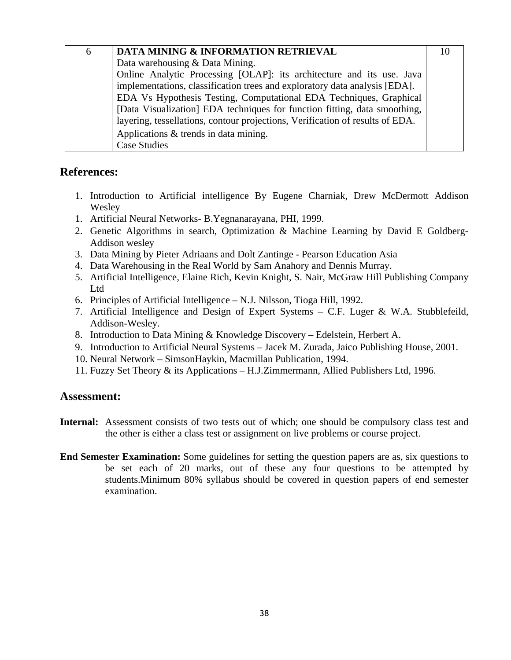| 6 | DATA MINING & INFORMATION RETRIEVAL                                           | 10 |
|---|-------------------------------------------------------------------------------|----|
|   | Data warehousing & Data Mining.                                               |    |
|   | Online Analytic Processing [OLAP]: its architecture and its use. Java         |    |
|   | implementations, classification trees and exploratory data analysis [EDA].    |    |
|   | EDA Vs Hypothesis Testing, Computational EDA Techniques, Graphical            |    |
|   | [Data Visualization] EDA techniques for function fitting, data smoothing,     |    |
|   | layering, tessellations, contour projections, Verification of results of EDA. |    |
|   | Applications & trends in data mining.                                         |    |
|   | <b>Case Studies</b>                                                           |    |

- 1. Introduction to Artificial intelligence By Eugene Charniak, Drew McDermott Addison Wesley
- 1. Artificial Neural Networks- B.Yegnanarayana, PHI, 1999.
- 2. Genetic Algorithms in search, Optimization & Machine Learning by David E Goldberg-Addison wesley
- 3. Data Mining by Pieter Adriaans and Dolt Zantinge Pearson Education Asia
- 4. Data Warehousing in the Real World by Sam Anahory and Dennis Murray.
- 5. Artificial Intelligence, Elaine Rich, Kevin Knight, S. Nair, McGraw Hill Publishing Company Ltd
- 6. Principles of Artificial Intelligence N.J. Nilsson, Tioga Hill, 1992.
- 7. Artificial Intelligence and Design of Expert Systems C.F. Luger & W.A. Stubblefeild, Addison-Wesley.
- 8. Introduction to Data Mining & Knowledge Discovery Edelstein, Herbert A.
- 9. Introduction to Artificial Neural Systems Jacek M. Zurada, Jaico Publishing House, 2001.
- 10. Neural Network SimsonHaykin, Macmillan Publication, 1994.
- 11. Fuzzy Set Theory & its Applications H.J.Zimmermann, Allied Publishers Ltd, 1996.

- **Internal:** Assessment consists of two tests out of which; one should be compulsory class test and the other is either a class test or assignment on live problems or course project.
- **End Semester Examination:** Some guidelines for setting the question papers are as, six questions to be set each of 20 marks, out of these any four questions to be attempted by students.Minimum 80% syllabus should be covered in question papers of end semester examination.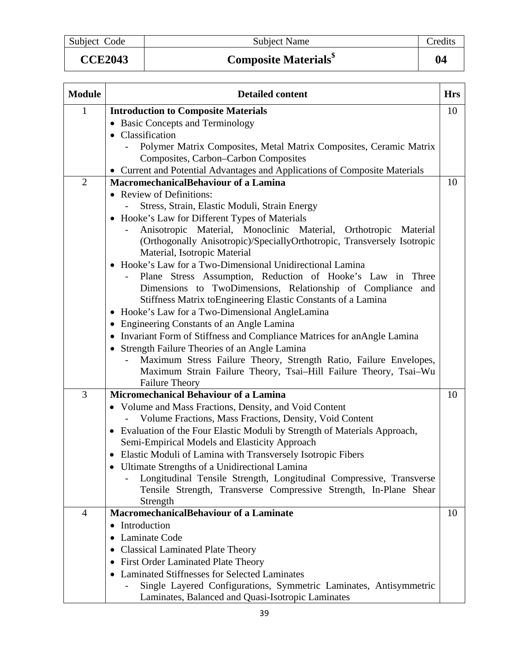# **CCE2043 Composite Materials\$ 04**

| <b>Module</b>  | <b>Detailed content</b>                                                                                                | <b>Hrs</b> |
|----------------|------------------------------------------------------------------------------------------------------------------------|------------|
| $\mathbf{1}$   | <b>Introduction to Composite Materials</b>                                                                             | 10         |
|                | • Basic Concepts and Terminology                                                                                       |            |
|                | Classification                                                                                                         |            |
|                | Polymer Matrix Composites, Metal Matrix Composites, Ceramic Matrix                                                     |            |
|                | Composites, Carbon-Carbon Composites                                                                                   |            |
|                | • Current and Potential Advantages and Applications of Composite Materials                                             |            |
| $\overline{2}$ | <b>MacromechanicalBehaviour of a Lamina</b>                                                                            | 10         |
|                | • Review of Definitions:                                                                                               |            |
|                | Stress, Strain, Elastic Moduli, Strain Energy                                                                          |            |
|                | • Hooke's Law for Different Types of Materials                                                                         |            |
|                | Anisotropic Material, Monoclinic Material, Orthotropic<br>Material                                                     |            |
|                | (Orthogonally Anisotropic)/SpeciallyOrthotropic, Transversely Isotropic                                                |            |
|                | Material, Isotropic Material                                                                                           |            |
|                | Hooke's Law for a Two-Dimensional Unidirectional Lamina<br>Plane Stress Assumption, Reduction of Hooke's Law in Three  |            |
|                | Dimensions to TwoDimensions, Relationship of Compliance and                                                            |            |
|                | Stiffness Matrix to Engineering Elastic Constants of a Lamina                                                          |            |
|                | • Hooke's Law for a Two-Dimensional AngleLamina                                                                        |            |
|                | • Engineering Constants of an Angle Lamina                                                                             |            |
|                | • Invariant Form of Stiffness and Compliance Matrices for anAngle Lamina                                               |            |
|                | Strength Failure Theories of an Angle Lamina                                                                           |            |
|                | Maximum Stress Failure Theory, Strength Ratio, Failure Envelopes,                                                      |            |
|                | Maximum Strain Failure Theory, Tsai-Hill Failure Theory, Tsai-Wu                                                       |            |
|                | <b>Failure Theory</b>                                                                                                  |            |
| 3              | Micromechanical Behaviour of a Lamina                                                                                  | 10         |
|                | • Volume and Mass Fractions, Density, and Void Content                                                                 |            |
|                | Volume Fractions, Mass Fractions, Density, Void Content                                                                |            |
|                | Evaluation of the Four Elastic Moduli by Strength of Materials Approach,<br>$\bullet$                                  |            |
|                | Semi-Empirical Models and Elasticity Approach                                                                          |            |
|                | Elastic Moduli of Lamina with Transversely Isotropic Fibers                                                            |            |
|                | • Ultimate Strengths of a Unidirectional Lamina                                                                        |            |
|                | Longitudinal Tensile Strength, Longitudinal Compressive, Transverse                                                    |            |
|                | Tensile Strength, Transverse Compressive Strength, In-Plane Shear                                                      |            |
|                | Strength                                                                                                               |            |
| 4              | MacromechanicalBehaviour of a Laminate                                                                                 | 10         |
|                | Introduction<br>٠                                                                                                      |            |
|                | Laminate Code                                                                                                          |            |
|                | <b>Classical Laminated Plate Theory</b>                                                                                |            |
|                | • First Order Laminated Plate Theory                                                                                   |            |
|                | • Laminated Stiffnesses for Selected Laminates                                                                         |            |
|                | Single Layered Configurations, Symmetric Laminates, Antisymmetric<br>Laminates, Balanced and Quasi-Isotropic Laminates |            |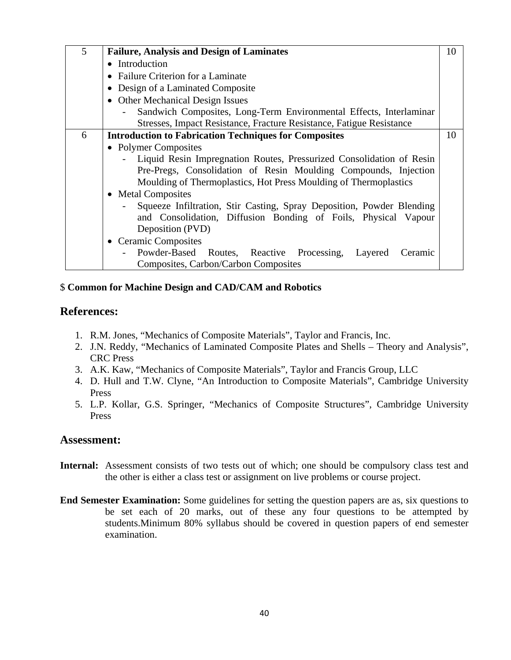| 5 | <b>Failure, Analysis and Design of Laminates</b>                      | 10 |
|---|-----------------------------------------------------------------------|----|
|   | • Introduction                                                        |    |
|   | • Failure Criterion for a Laminate                                    |    |
|   | Design of a Laminated Composite<br>$\bullet$                          |    |
|   | <b>Other Mechanical Design Issues</b><br>$\bullet$                    |    |
|   | Sandwich Composites, Long-Term Environmental Effects, Interlaminar    |    |
|   | Stresses, Impact Resistance, Fracture Resistance, Fatigue Resistance  |    |
| 6 | <b>Introduction to Fabrication Techniques for Composites</b>          | 10 |
|   | • Polymer Composites                                                  |    |
|   | Liquid Resin Impregnation Routes, Pressurized Consolidation of Resin  |    |
|   | Pre-Pregs, Consolidation of Resin Moulding Compounds, Injection       |    |
|   | Moulding of Thermoplastics, Hot Press Moulding of Thermoplastics      |    |
|   | • Metal Composites                                                    |    |
|   | Squeeze Infiltration, Stir Casting, Spray Deposition, Powder Blending |    |
|   | and Consolidation, Diffusion Bonding of Foils, Physical Vapour        |    |
|   | Deposition (PVD)                                                      |    |
|   | • Ceramic Composites                                                  |    |
|   | Powder-Based Routes, Reactive Processing, Layered<br>Ceramic          |    |
|   | Composites, Carbon/Carbon Composites                                  |    |

#### \$ **Common for Machine Design and CAD/CAM and Robotics**

#### **References:**

- 1. R.M. Jones, "Mechanics of Composite Materials", Taylor and Francis, Inc.
- 2. J.N. Reddy, "Mechanics of Laminated Composite Plates and Shells Theory and Analysis", CRC Press
- 3. A.K. Kaw, "Mechanics of Composite Materials", Taylor and Francis Group, LLC
- 4. D. Hull and T.W. Clyne, "An Introduction to Composite Materials", Cambridge University Press
- 5. L.P. Kollar, G.S. Springer, "Mechanics of Composite Structures", Cambridge University Press

- **Internal:** Assessment consists of two tests out of which; one should be compulsory class test and the other is either a class test or assignment on live problems or course project.
- **End Semester Examination:** Some guidelines for setting the question papers are as, six questions to be set each of 20 marks, out of these any four questions to be attempted by students.Minimum 80% syllabus should be covered in question papers of end semester examination.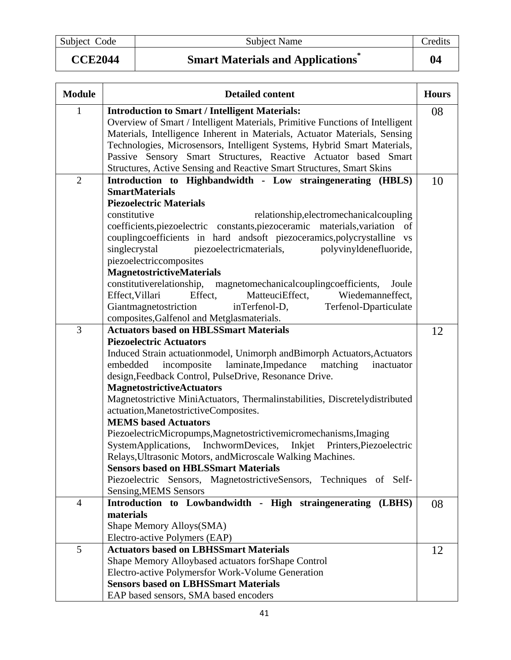Subject Code Subject Name Credits

**CCE2044 Smart Materials and Applications\* 04** 

| <b>Module</b>  | <b>Detailed content</b>                                                       | <b>Hours</b> |
|----------------|-------------------------------------------------------------------------------|--------------|
| $\mathbf{1}$   | <b>Introduction to Smart / Intelligent Materials:</b>                         | 08           |
|                | Overview of Smart / Intelligent Materials, Primitive Functions of Intelligent |              |
|                | Materials, Intelligence Inherent in Materials, Actuator Materials, Sensing    |              |
|                | Technologies, Microsensors, Intelligent Systems, Hybrid Smart Materials,      |              |
|                | Passive Sensory Smart Structures, Reactive Actuator based Smart               |              |
|                | Structures, Active Sensing and Reactive Smart Structures, Smart Skins         |              |
| $\overline{2}$ | Introduction to Highbandwidth - Low straingenerating (HBLS)                   | 10           |
|                | <b>SmartMaterials</b>                                                         |              |
|                | <b>Piezoelectric Materials</b>                                                |              |
|                | constitutive<br>relationship, electromechanical coupling                      |              |
|                | coefficients, piezoelectric constants, piezoceramic materials, variation of   |              |
|                | couplingcoefficients in hard andsoft piezoceramics, polycrystalline vs        |              |
|                | piezoelectricmaterials,<br>singlecrystal<br>polyvinyldenefluoride,            |              |
|                | piezoelectriccomposites                                                       |              |
|                | <b>MagnetostrictiveMaterials</b>                                              |              |
|                | constitutiverelationship, magnetomechanical coupling coefficients,<br>Joule   |              |
|                | Effect, Villari<br>Effect,<br>MatteuciEffect,<br>Wiedemanneffect,             |              |
|                | Giantmagnetostriction<br>inTerfenol-D,<br>Terfenol-Dparticulate               |              |
|                | composites, Galfenol and Metglasmaterials.                                    |              |
| 3              | <b>Actuators based on HBLSSmart Materials</b>                                 | 12           |
|                | <b>Piezoelectric Actuators</b>                                                |              |
|                | Induced Strain actuationmodel, Unimorph andBimorph Actuators, Actuators       |              |
|                | embedded<br>incomposite laminate, Impedance<br>matching<br>inactuator         |              |
|                | design, Feedback Control, PulseDrive, Resonance Drive.                        |              |
|                | <b>MagnetostrictiveActuators</b>                                              |              |
|                | Magnetostrictive MiniActuators, Thermalinstabilities, Discretelydistributed   |              |
|                | actuation, Manetostrictive Composites.<br><b>MEMS</b> based Actuators         |              |
|                | PiezoelectricMicropumps, Magnetostrictivemicromechanisms, Imaging             |              |
|                | SystemApplications, InchwormDevices, Inkjet Printers,Piezoelectric            |              |
|                | Relays, Ultrasonic Motors, and Microscale Walking Machines.                   |              |
|                | <b>Sensors based on HBLSSmart Materials</b>                                   |              |
|                | Piezoelectric Sensors, MagnetostrictiveSensors, Techniques of Self-           |              |
|                | Sensing, MEMS Sensors                                                         |              |
| $\overline{4}$ | Introduction to Lowbandwidth - High straingenerating (LBHS)                   | 08           |
|                | materials                                                                     |              |
|                | Shape Memory Alloys(SMA)                                                      |              |
|                | Electro-active Polymers (EAP)                                                 |              |
| 5              | <b>Actuators based on LBHSSmart Materials</b>                                 | 12           |
|                | Shape Memory Alloybased actuators for Shape Control                           |              |
|                | Electro-active Polymersfor Work-Volume Generation                             |              |
|                | <b>Sensors based on LBHSSmart Materials</b>                                   |              |
|                | EAP based sensors, SMA based encoders                                         |              |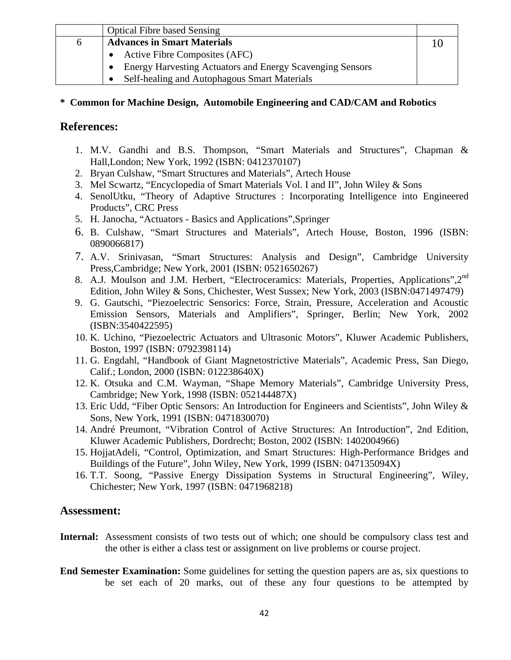|   | <b>Optical Fibre based Sensing</b>                               |  |
|---|------------------------------------------------------------------|--|
| 6 | <b>Advances in Smart Materials</b>                               |  |
|   | Active Fibre Composites (AFC)                                    |  |
|   | <b>Energy Harvesting Actuators and Energy Scavenging Sensors</b> |  |
|   | Self-healing and Autophagous Smart Materials                     |  |

#### **\* Common for Machine Design, Automobile Engineering and CAD/CAM and Robotics**

#### **References:**

- 1. M.V. Gandhi and B.S. Thompson, "Smart Materials and Structures", Chapman & Hall,London; New York, 1992 (ISBN: 0412370107)
- 2. Bryan Culshaw, "Smart Structures and Materials", Artech House
- 3. Mel Scwartz, "Encyclopedia of Smart Materials Vol. I and II", John Wiley & Sons
- 4. SenolUtku, "Theory of Adaptive Structures : Incorporating Intelligence into Engineered Products", CRC Press
- 5. H. Janocha, "Actuators Basics and Applications",Springer
- 6. B. Culshaw, "Smart Structures and Materials", Artech House, Boston, 1996 (ISBN: 0890066817)
- 7. A.V. Srinivasan, "Smart Structures: Analysis and Design", Cambridge University Press,Cambridge; New York, 2001 (ISBN: 0521650267)
- 8. A.J. Moulson and J.M. Herbert, "Electroceramics: Materials, Properties, Applications", 2<sup>nd</sup> Edition, John Wiley & Sons, Chichester, West Sussex; New York, 2003 (ISBN:0471497479)
- 9. G. Gautschi, "Piezoelectric Sensorics: Force, Strain, Pressure, Acceleration and Acoustic Emission Sensors, Materials and Amplifiers", Springer, Berlin; New York, 2002 (ISBN:3540422595)
- 10. K. Uchino, "Piezoelectric Actuators and Ultrasonic Motors", Kluwer Academic Publishers, Boston, 1997 (ISBN: 0792398114)
- 11. G. Engdahl, "Handbook of Giant Magnetostrictive Materials", Academic Press, San Diego, Calif.; London, 2000 (ISBN: 012238640X)
- 12. K. Otsuka and C.M. Wayman, "Shape Memory Materials", Cambridge University Press, Cambridge; New York, 1998 (ISBN: 052144487X)
- 13. Eric Udd, "Fiber Optic Sensors: An Introduction for Engineers and Scientists", John Wiley & Sons, New York, 1991 (ISBN: 0471830070)
- 14. André Preumont, "Vibration Control of Active Structures: An Introduction", 2nd Edition, Kluwer Academic Publishers, Dordrecht; Boston, 2002 (ISBN: 1402004966)
- 15. HojjatAdeli, "Control, Optimization, and Smart Structures: High-Performance Bridges and Buildings of the Future", John Wiley, New York, 1999 (ISBN: 047135094X)
- 16. T.T. Soong, "Passive Energy Dissipation Systems in Structural Engineering", Wiley, Chichester; New York, 1997 (ISBN: 0471968218)

- **Internal:** Assessment consists of two tests out of which; one should be compulsory class test and the other is either a class test or assignment on live problems or course project.
- **End Semester Examination:** Some guidelines for setting the question papers are as, six questions to be set each of 20 marks, out of these any four questions to be attempted by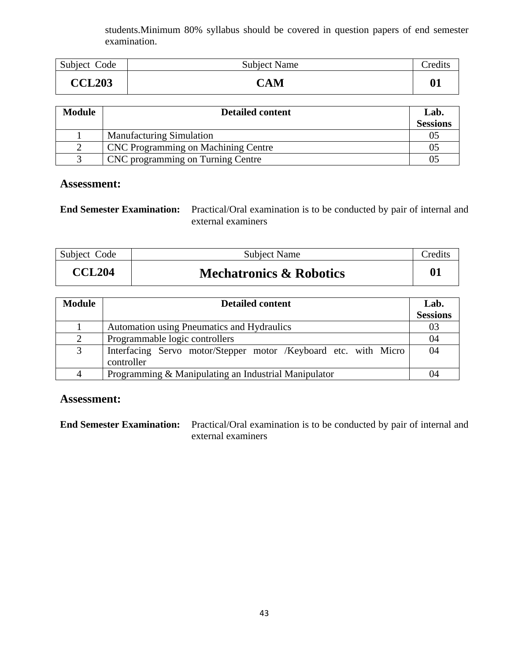students.Minimum 80% syllabus should be covered in question papers of end semester examination.

| Subject Code  | <b>Subject Name</b> | redit: |
|---------------|---------------------|--------|
| <b>CCL203</b> | CAM                 |        |

| <b>Module</b> | <b>Detailed content</b>                    | Lab.<br><b>Sessions</b> |
|---------------|--------------------------------------------|-------------------------|
|               | <b>Manufacturing Simulation</b>            | 05                      |
|               | <b>CNC</b> Programming on Machining Centre | 0 <sup>5</sup>          |
|               | CNC programming on Turning Centre          | 0 <sup>5</sup>          |

#### **Assessment:**

| <b>End Semester Examination:</b> Practical/Oral examination is to be conducted by pair of internal and |
|--------------------------------------------------------------------------------------------------------|
| external examiners                                                                                     |

| Subject Code  | <b>Subject Name</b>                | <b>Tredits</b> |
|---------------|------------------------------------|----------------|
| <b>CCL204</b> | <b>Mechatronics &amp; Robotics</b> |                |

| <b>Module</b> | <b>Detailed content</b>                                                       | Lab.            |
|---------------|-------------------------------------------------------------------------------|-----------------|
|               |                                                                               | <b>Sessions</b> |
|               | Automation using Pneumatics and Hydraulics                                    | 03              |
| 2             | Programmable logic controllers                                                | 04              |
| 3             | Interfacing Servo motor/Stepper motor /Keyboard etc. with Micro<br>controller | 04              |
|               | Programming & Manipulating an Industrial Manipulator                          | 04              |

#### **Assessment:**

**End Semester Examination:** Practical/Oral examination is to be conducted by pair of internal and external examiners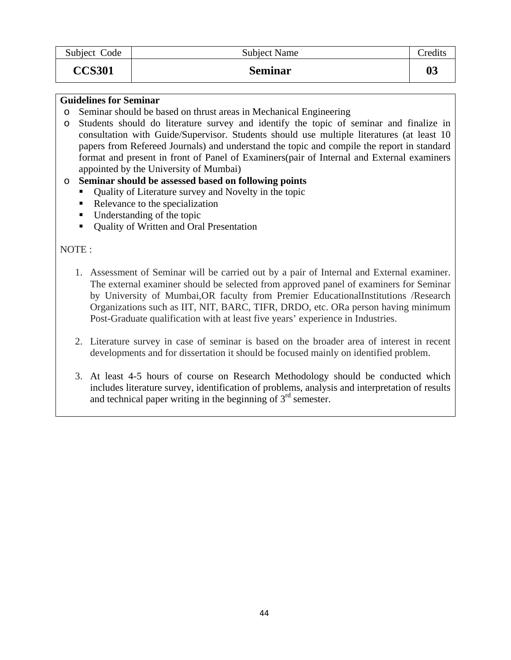| Subject Code  | <b>Subject Name</b> | Credits |
|---------------|---------------------|---------|
| <b>CCS301</b> | <b>Seminar</b>      | 03      |

#### **Guidelines for Seminar**

- o Seminar should be based on thrust areas in Mechanical Engineering
- o Students should do literature survey and identify the topic of seminar and finalize in consultation with Guide/Supervisor. Students should use multiple literatures (at least 10 papers from Refereed Journals) and understand the topic and compile the report in standard format and present in front of Panel of Examiners(pair of Internal and External examiners appointed by the University of Mumbai)

#### o **Seminar should be assessed based on following points**

- Quality of Literature survey and Novelty in the topic
- Relevance to the specialization
- Understanding of the topic
- Quality of Written and Oral Presentation

#### NOTE :

- 1. Assessment of Seminar will be carried out by a pair of Internal and External examiner. The external examiner should be selected from approved panel of examiners for Seminar by University of Mumbai,OR faculty from Premier EducationalInstitutions /Research Organizations such as IIT, NIT, BARC, TIFR, DRDO, etc. ORa person having minimum Post-Graduate qualification with at least five years' experience in Industries.
- 2. Literature survey in case of seminar is based on the broader area of interest in recent developments and for dissertation it should be focused mainly on identified problem.
- 3. At least 4-5 hours of course on Research Methodology should be conducted which includes literature survey, identification of problems, analysis and interpretation of results and technical paper writing in the beginning of  $3<sup>rd</sup>$  semester.